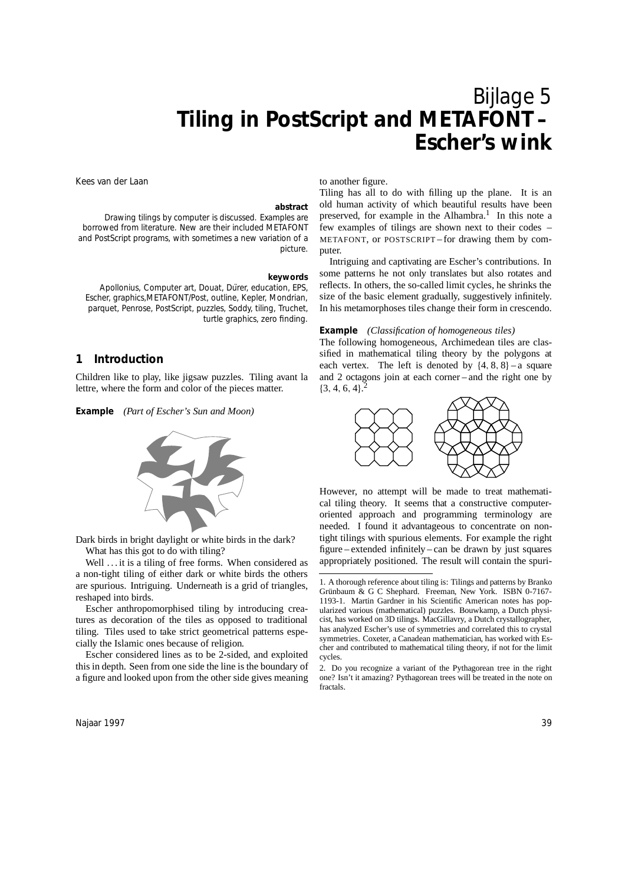# Bijlage 5 **Tiling in PostScript and METAFONT – Escher's wink**

to another figure.

Kees van der Laan

#### **abstract**

Drawing tilings by computer is discussed. Examples are borrowed from literature. New are their included METAFONT and PostScript programs, with sometimes a new variation of a picture.

#### **keywords**

Apollonius, Computer art, Douat, Dürer, education, EPS, Escher, graphics,METAFONT/Post, outline, Kepler, Mondrian, parquet, Penrose, PostScript, puzzles, Soddy, tiling, Truchet, turtle graphics, zero finding.

# **1 Introduction**

Children like to play, like jigsaw puzzles. Tiling avant la lettre, where the form and color of the pieces matter.

**Example** *(Part of Escher's Sun and Moon)*



Dark birds in bright daylight or white birds in the dark? What has this got to do with tiling?

Well . . . it is a tiling of free forms. When considered as a non-tight tiling of either dark or white birds the others are spurious. Intriguing. Underneath is a grid of triangles, reshaped into birds.

Escher anthropomorphised tiling by introducing creatures as decoration of the tiles as opposed to traditional tiling. Tiles used to take strict geometrical patterns especially the Islamic ones because of religion.

Escher considered lines as to be 2-sided, and exploited this in depth. Seen from one side the line is the boundary of a figure and looked upon from the other side gives meaning

Tiling has all to do with filling up the plane. It is an old human activity of which beautiful results have been preserved, for example in the Alhambra.<sup>1</sup> In this note a few examples of tilings are shown next to their codes – METAFONT, or POSTSCRIPT – for drawing them by computer.

Intriguing and captivating are Escher's contributions. In some patterns he not only translates but also rotates and reflects. In others, the so-called limit cycles, he shrinks the size of the basic element gradually, suggestively infinitely. In his metamorphoses tiles change their form in crescendo.

# **Example** *(Classification of homogeneous tiles)*

The following homogeneous, Archimedean tiles are classified in mathematical tiling theory by the polygons at each vertex. The left is denoted by {4*,* 8*,* 8} – a square and 2 octagons join at each corner – and the right one by  $\{3, 4, 6, 4\}$ .<sup>2</sup>



However, no attempt will be made to treat mathematical tiling theory. It seems that a constructive computeroriented approach and programming terminology are needed. I found it advantageous to concentrate on nontight tilings with spurious elements. For example the right figure – extended infinitely – can be drawn by just squares appropriately positioned. The result will contain the spuri-

<sup>1</sup>. A thorough reference about tiling is: Tilings and patterns by Branko Grünbaum & G C Shephard. Freeman, New York. ISBN 0-7167-1193-1. Martin Gardner in his Scientific American notes has popularized various (mathematical) puzzles. Bouwkamp, a Dutch physicist, has worked on 3D tilings. MacGillavry, a Dutch crystallographer, has analyzed Escher's use of symmetries and correlated this to crystal symmetries. Coxeter, a Canadean mathematician, has worked with Escher and contributed to mathematical tiling theory, if not for the limit cycles.

<sup>2</sup>. Do you recognize a variant of the Pythagorean tree in the right one? Isn't it amazing? Pythagorean trees will be treated in the note on fractals.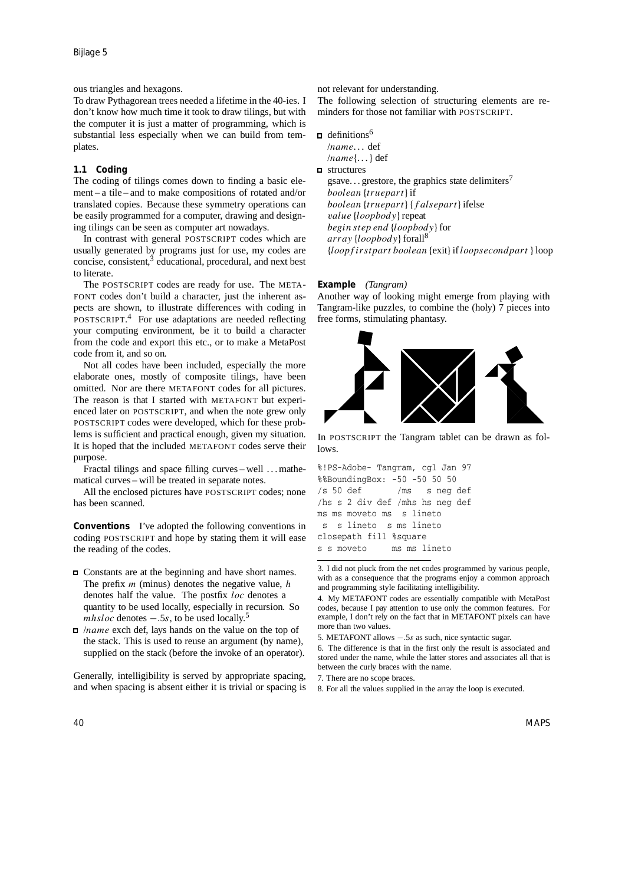# ous triangles and hexagons.

To draw Pythagorean trees needed a lifetime in the 40-ies. I don't know how much time it took to draw tilings, but with the computer it is just a matter of programming, which is substantial less especially when we can build from templates.

### **1.1 Coding**

The coding of tilings comes down to finding a basic element – a tile – and to make compositions of rotated and/or translated copies. Because these symmetry operations can be easily programmed for a computer, drawing and designing tilings can be seen as computer art nowadays.

In contrast with general POSTSCRIPT codes which are usually generated by programs just for use, my codes are concise, consistent,<sup>3</sup> educational, procedural, and next best to literate.

The POSTSCRIPT codes are ready for use. The META-FONT codes don't build a character, just the inherent aspects are shown, to illustrate differences with coding in POSTSCRIPT.<sup>4</sup> For use adaptations are needed reflecting your computing environment, be it to build a character from the code and export this etc., or to make a MetaPost code from it, and so on.

Not all codes have been included, especially the more elaborate ones, mostly of composite tilings, have been omitted. Nor are there METAFONT codes for all pictures. The reason is that I started with METAFONT but experienced later on POSTSCRIPT, and when the note grew only POSTSCRIPT codes were developed, which for these problems is sufficient and practical enough, given my situation. It is hoped that the included METAFONT codes serve their purpose.

Fractal tilings and space filling curves – well . . . mathematical curves – will be treated in separate notes.

All the enclosed pictures have POSTSCRIPT codes; none has been scanned.

**Conventions** I've adopted the following conventions in coding POSTSCRIPT and hope by stating them it will ease the reading of the codes.

- Constants are at the beginning and have short names. The prefix *m* (minus) denotes the negative value, *h* denotes half the value. The postfix *loc* denotes a quantity to be used locally, especially in recursion. So *mhsloc* denotes −*.5s*, to be used locally.<sup>5</sup>
- /*name* exch def, lays hands on the value on the top of the stack. This is used to reuse an argument (by name), supplied on the stack (before the invoke of an operator).

Generally, intelligibility is served by appropriate spacing, and when spacing is absent either it is trivial or spacing is not relevant for understanding.

The following selection of structuring elements are reminders for those not familiar with POSTSCRIPT.

- $\Box$  definitions<sup>6</sup>
- /*name*. . . def /*name*{...} def
- structures

gsave... grestore, the graphics state delimiters<sup>7</sup> *boolean* {*truepart*}if *boolean* {*truepart*} {*f alsepart*}ifelse *value* {*loopbody*}repeat *begin step end* {*loopbody*}for *array* {*loopbody*}forall<sup>8</sup> {*loopf irstpart boolean* {exit}if*loopsecondpart* }loop

### **Example** *(Tangram)*

Another way of looking might emerge from playing with Tangram-like puzzles, to combine the (holy) 7 pieces into free forms, stimulating phantasy.



In POSTSCRIPT the Tangram tablet can be drawn as follows.

| %!PS-Adobe- Tangram, cgl Jan 97 |  |
|---------------------------------|--|
| %%BoundingBox: -50 -50 50 50    |  |
| /s 50 def /ms snegdef           |  |
| /hs s 2 div def /mhs hs neg def |  |
| ms ms moveto ms s lineto        |  |
| s s lineto s ms lineto          |  |
| closepath fill %square          |  |
| s s moveto coms ms lineto       |  |
|                                 |  |

<sup>3</sup>. I did not pluck from the net codes programmed by various people, with as a consequence that the programs enjoy a common approach and programming style facilitating intelligibility.

<sup>4</sup>. My METAFONT codes are essentially compatible with MetaPost codes, because I pay attention to use only the common features. For example, I don't rely on the fact that in METAFONT pixels can have more than two values.

<sup>5</sup>. METAFONT allows −*.*5*s* as such, nice syntactic sugar.

<sup>6</sup>. The difference is that in the first only the result is associated and stored under the name, while the latter stores and associates all that is between the curly braces with the name.

<sup>7</sup>. There are no scope braces.

<sup>8</sup>. For all the values supplied in the array the loop is executed.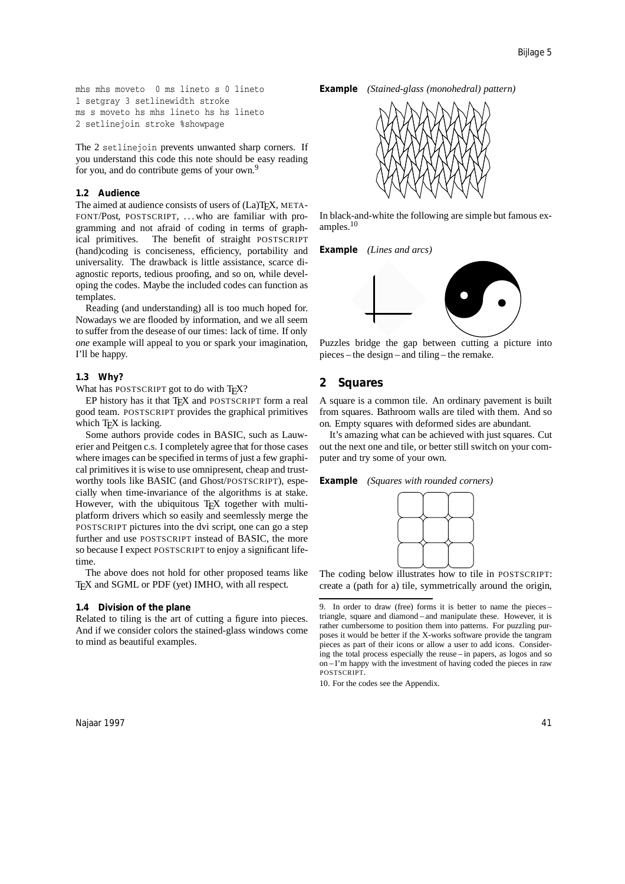mhs mhs moveto 0 ms lineto s 0 lineto 1 setgray 3 setlinewidth stroke ms s moveto hs mhs lineto hs hs lineto 2 setlinejoin stroke %showpage

The 2 setline join prevents unwanted sharp corners. If you understand this code this note should be easy reading for you, and do contribute gems of your own.<sup>9</sup>

### **1.2 Audience**

The aimed at audience consists of users of (La)TEX, META-FONT/Post, POSTSCRIPT, . . . who are familiar with programming and not afraid of coding in terms of graphical primitives. The benefit of straight POSTSCRIPT (hand)coding is conciseness, efficiency, portability and universality. The drawback is little assistance, scarce diagnostic reports, tedious proofing, and so on, while developing the codes. Maybe the included codes can function as templates.

Reading (and understanding) all is too much hoped for. Nowadays we are flooded by information, and we all seem to suffer from the desease of our times: lack of time. If only *one* example will appeal to you or spark your imagination, I'll be happy.

### **1.3 Why?**

What has POSTSCRIPT got to do with TEX?

EP history has it that TEX and POSTSCRIPT form a real good team. POSTSCRIPT provides the graphical primitives which  $T<sub>F</sub>X$  is lacking.

Some authors provide codes in BASIC, such as Lauwerier and Peitgen c.s. I completely agree that for those cases where images can be specified in terms of just a few graphical primitives it is wise to use omnipresent, cheap and trustworthy tools like BASIC (and Ghost/POSTSCRIPT), especially when time-invariance of the algorithms is at stake. However, with the ubiquitous T<sub>EX</sub> together with multiplatform drivers which so easily and seemlessly merge the POSTSCRIPT pictures into the dvi script, one can go a step further and use POSTSCRIPT instead of BASIC, the more so because I expect POSTSCRIPT to enjoy a significant lifetime.

The above does not hold for other proposed teams like T<sub>E</sub>X and SGML or PDF (yet) IMHO, with all respect.

### **1.4 Division of the plane**

Related to tiling is the art of cutting a figure into pieces. And if we consider colors the stained-glass windows come to mind as beautiful examples.





In black-and-white the following are simple but famous examples.<sup>10</sup>

**Example** *(Lines and arcs)*



Puzzles bridge the gap between cutting a picture into pieces – the design – and tiling – the remake.

# **2 Squares**

A square is a common tile. An ordinary pavement is built from squares. Bathroom walls are tiled with them. And so on. Empty squares with deformed sides are abundant.

It's amazing what can be achieved with just squares. Cut out the next one and tile, or better still switch on your computer and try some of your own.

**Example** *(Squares with rounded corners)*



The coding below illustrates how to tile in POSTSCRIPT: create a (path for a) tile, symmetrically around the origin,

10. For the codes see the Appendix.

Najaar 1997 41

<sup>9</sup>. In order to draw (free) forms it is better to name the pieces – triangle, square and diamond – and manipulate these. However, it is rather cumbersome to position them into patterns. For puzzling purposes it would be better if the X-works software provide the tangram pieces as part of their icons or allow a user to add icons. Considering the total process especially the reuse – in papers, as logos and so on – I'm happy with the investment of having coded the pieces in raw POSTSCRIPT.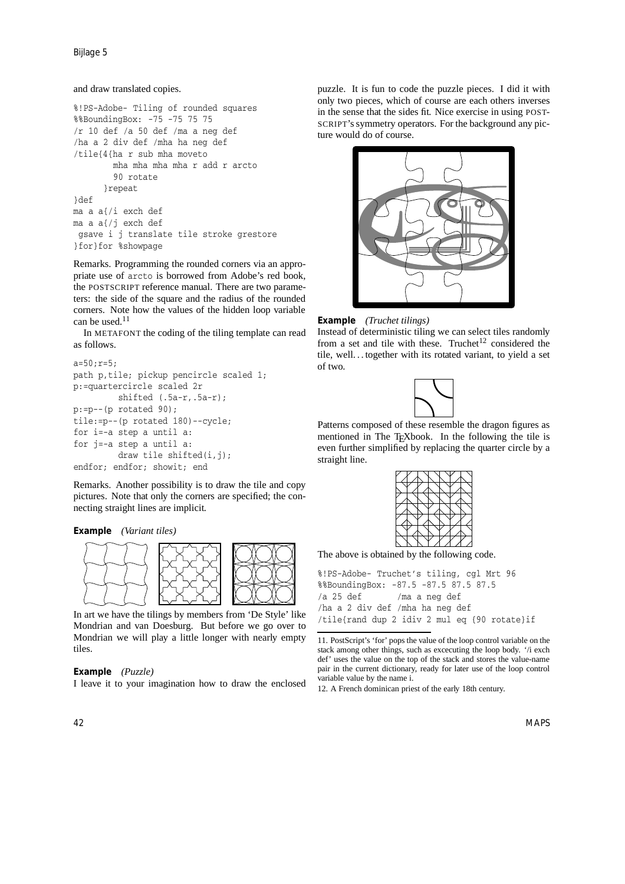Bijlage 5

### and draw translated copies.

```
%!PS-Adobe- Tiling of rounded squares
%%BoundingBox: -75 -75 75 75
/r 10 def /a 50 def /ma a neg def
/ha a 2 div def /mha ha neg def
/tile{4{ha r sub mha moveto
        mha mha mha mha r add r arcto
        90 rotate
      }repeat
}def
ma a a{/i exch def
ma a a{/j exch def
gsave i j translate tile stroke grestore
}for}for %showpage
```
Remarks. Programming the rounded corners via an appropriate use of arcto is borrowed from Adobe's red book, the POSTSCRIPT reference manual. There are two parameters: the side of the square and the radius of the rounded corners. Note how the values of the hidden loop variable can be used.<sup>11</sup>

In METAFONT the coding of the tiling template can read as follows.

```
a=50; r=5;path p,tile; pickup pencircle scaled 1;
p:=quartercircle scaled 2r
         shifted (.5a-r,.5a-r);
p:=p--(p \text{ rotated } 90);tile:=p--(p rotated 180)--cycle;
for i=-a step a until a:
for j=-a step a until a:
         draw tile shifted(i,j);
endfor; endfor; showit; end
```
Remarks. Another possibility is to draw the tile and copy pictures. Note that only the corners are specified; the connecting straight lines are implicit.





In art we have the tilings by members from 'De Style' like Mondrian and van Doesburg. But before we go over to Mondrian we will play a little longer with nearly empty tiles.

### **Example** *(Puzzle)*

I leave it to your imagination how to draw the enclosed

puzzle. It is fun to code the puzzle pieces. I did it with only two pieces, which of course are each others inverses in the sense that the sides fit. Nice exercise in using POST-SCRIPT's symmetry operators. For the background any picture would do of course.





Instead of deterministic tiling we can select tiles randomly from a set and tile with these. Truchet<sup>12</sup> considered the tile, well. . . together with its rotated variant, to yield a set of two.



Patterns composed of these resemble the dragon figures as mentioned in The TEXbook. In the following the tile is even further simplified by replacing the quarter circle by a straight line.



The above is obtained by the following code.

%!PS-Adobe- Truchet's tiling, cgl Mrt 96 %%BoundingBox: -87.5 -87.5 87.5 87.5 /a 25 def /ma a neg def /ha a 2 div def /mha ha neg def /tile{rand dup 2 idiv 2 mul eq {90 rotate}if

12. A French dominican priest of the early 18th century.

42 MAPS

<sup>11</sup>. PostScript's 'for' pops the value of the loop control variable on the stack among other things, such as excecuting the loop body. '/i exch def' uses the value on the top of the stack and stores the value-name pair in the current dictionary, ready for later use of the loop control variable value by the name i.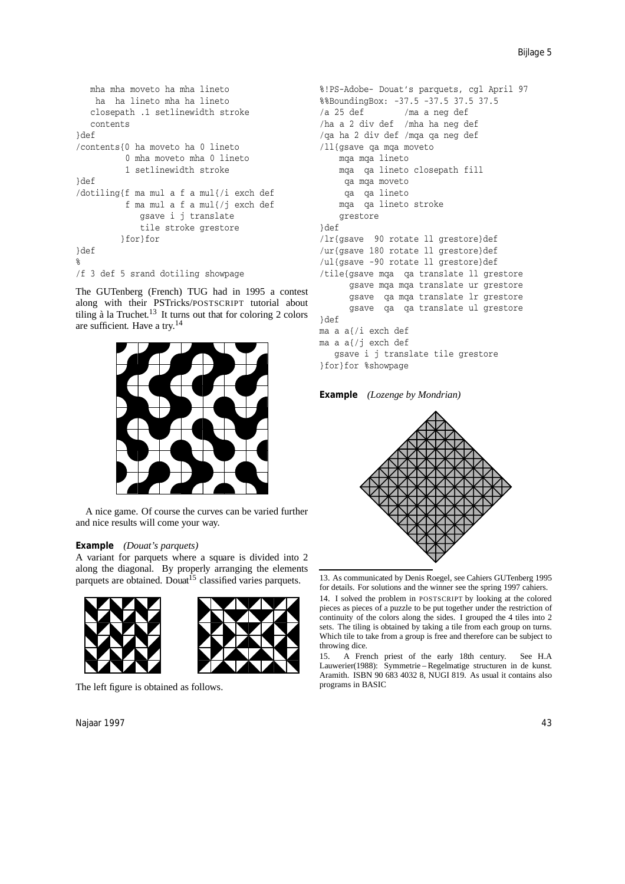```
mha mha moveto ha mha lineto
   ha ha lineto mha ha lineto
   closepath .1 setlinewidth stroke
   contents
}def
/contents{0 ha moveto ha 0 lineto
          0 mha moveto mha 0 lineto
          1 setlinewidth stroke
}def
/dotiling{f ma mul a f a mul{/i exch def
          f ma mul a f a mul{/j exch def
             gsave i j translate
             tile stroke grestore
         }for}for
}def
%
/f 3 def 5 srand dotiling showpage
```
The GUTenberg (French) TUG had in 1995 a contest along with their PSTricks/POSTSCRIPT tutorial about tiling à la Truchet.<sup>13</sup> It turns out that for coloring 2 colors are sufficient. Have a try.<sup>14</sup>



A nice game. Of course the curves can be varied further and nice results will come your way.

### **Example** *(Douat's parquets)*

A variant for parquets where a square is divided into 2 along the diagonal. By properly arranging the elements parquets are obtained. Douat<sup>15</sup> classified varies parquets.



The left figure is obtained as follows.

Najaar 1997 43

```
%!PS-Adobe- Douat's parquets, cgl April 97
%%BoundingBox: -37.5 -37.5 37.5 37.5
/a 25 def /ma a neg def
/ha a 2 div def /mha ha neg def
/qa ha 2 div def /mqa qa neg def
/ll{gsave qa mqa moveto
    mqa mqa lineto
   mqa qa lineto closepath fill
    qa mqa moveto
     qa qa lineto
   mqa qa lineto stroke
    grestore
}def
/lr{gsave 90 rotate ll grestore}def
/ur{gsave 180 rotate ll grestore}def
/ul{gsave -90 rotate ll grestore}def
/tile{gsave mqa qa translate ll grestore
     gsave mqa mqa translate ur grestore
     gsave qa mqa translate lr grestore
     gsave qa qa translate ul grestore
}def
ma a a{/i exch def
ma a a{/j exch def
   gsave i j translate tile grestore
}for}for %showpage
```
**Example** *(Lozenge by Mondrian)*



<sup>13</sup>. As communicated by Denis Roegel, see Cahiers GUTenberg 1995 for details. For solutions and the winner see the spring 1997 cahiers.

14. I solved the problem in POSTSCRIPT by looking at the colored pieces as pieces of a puzzle to be put together under the restriction of continuity of the colors along the sides. I grouped the 4 tiles into 2 sets. The tiling is obtained by taking a tile from each group on turns. Which tile to take from a group is free and therefore can be subject to throwing dice.

15. A French priest of the early 18th century. See H.A Lauwerier(1988): Symmetrie – Regelmatige structuren in de kunst. Aramith. ISBN 90 683 4032 8, NUGI 819. As usual it contains also programs in BASIC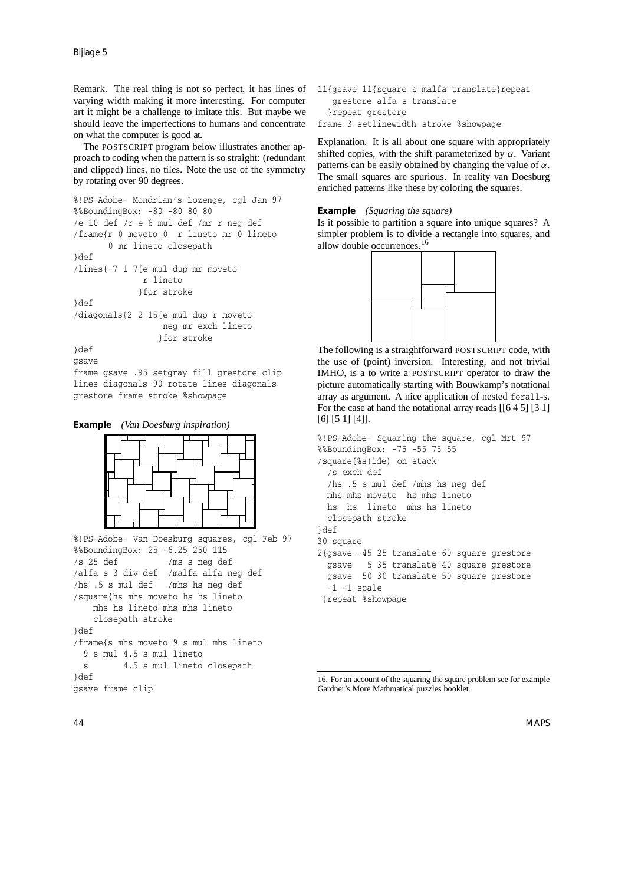Remark. The real thing is not so perfect, it has lines of varying width making it more interesting. For computer art it might be a challenge to imitate this. But maybe we should leave the imperfections to humans and concentrate on what the computer is good at.

The POSTSCRIPT program below illustrates another approach to coding when the pattern is so straight: (redundant and clipped) lines, no tiles. Note the use of the symmetry by rotating over 90 degrees.

```
%!PS-Adobe- Mondrian's Lozenge, cgl Jan 97
%%BoundingBox: -80 -80 80 80
/e 10 def /r e 8 mul def /mr r neg def
/frame{r 0 moveto 0 r lineto mr 0 lineto
       0 mr lineto closepath
}def
/lines{-7 1 7{e mul dup mr moveto
              r lineto
             }for stroke
}def
/diagonals{2 2 15{e mul dup r moveto
                  neg mr exch lineto
                 }for stroke
}def
gsave
frame gsave .95 setgray fill grestore clip
lines diagonals 90 rotate lines diagonals
grestore frame stroke %showpage
```
**Example** *(Van Doesburg inspiration)*



```
%!PS-Adobe- Van Doesburg squares, cgl Feb 97
%%BoundingBox: 25 -6.25 250 115
/s 25 def /ms s neg def
/alfa s 3 div def /malfa alfa neg def
/hs .5 s mul def /mhs hs neg def
/square{hs mhs moveto hs hs lineto
   mhs hs lineto mhs mhs lineto
    closepath stroke
3def
/frame{s mhs moveto 9 s mul mhs lineto
  9 s mul 4.5 s mul lineto
  s 4.5 s mul lineto closepath
}def
gsave frame clip
```

```
11{gsave 11{square s malfa translate}repeat
   grestore alfa s translate
  }repeat grestore
frame 3 setlinewidth stroke %showpage
```
Explanation. It is all about one square with appropriately shifted copies, with the shift parameterized by *α*. Variant patterns can be easily obtained by changing the value of *α*. The small squares are spurious. In reality van Doesburg enriched patterns like these by coloring the squares.

### **Example** *(Squaring the square)*

Is it possible to partition a square into unique squares? A simpler problem is to divide a rectangle into squares, and allow double occurrences.<sup>16</sup>



The following is a straightforward POSTSCRIPT code, with the use of (point) inversion. Interesting, and not trivial IMHO, is a to write a POSTSCRIPT operator to draw the picture automatically starting with Bouwkamp's notational array as argument. A nice application of nested forall-s. For the case at hand the notational array reads [[6 4 5] [3 1] [6] [5 1] [4]].

```
%!PS-Adobe- Squaring the square, cgl Mrt 97
%%BoundingBox: -75 -55 75 55
/square{%s(ide) on stack
  /s exch def
  /hs .5 s mul def /mhs hs neg def
  mhs mhs moveto hs mhs lineto
  hs hs lineto mhs hs lineto
  closepath stroke
}def
30 square
2{gsave -45 25 translate 60 square grestore
  gsave 5 35 translate 40 square grestore
  gsave 50 30 translate 50 square grestore
 -1 -1 scale
}repeat %showpage
```
<sup>16</sup>. For an account of the squaring the square problem see for example Gardner's More Mathmatical puzzles booklet.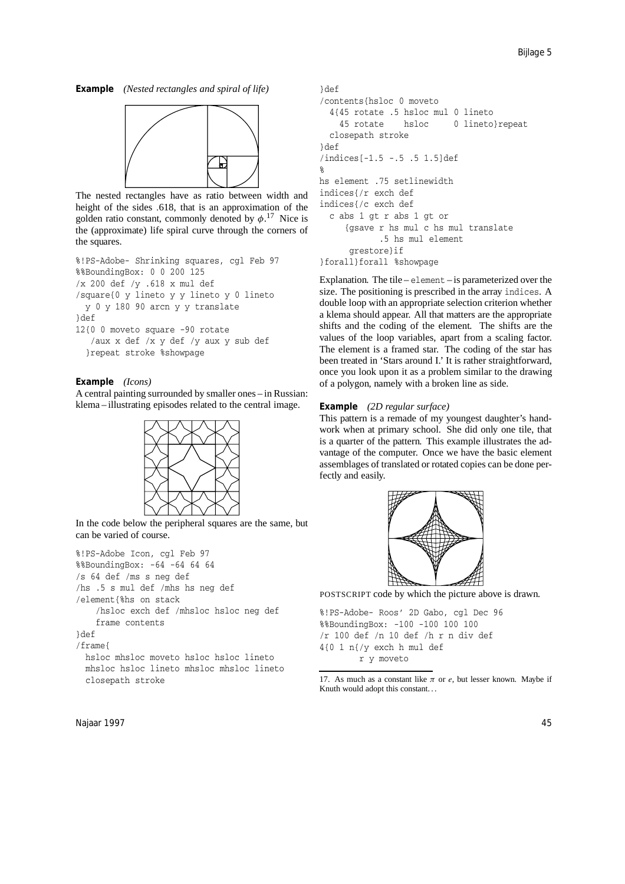**Example** *(Nested rectangles and spiral of life)*



The nested rectangles have as ratio between width and height of the sides *.*618, that is an approximation of the golden ratio constant, commonly denoted by  $\phi$ .<sup>17</sup> Nice is the (approximate) life spiral curve through the corners of the squares.

```
%!PS-Adobe- Shrinking squares, cgl Feb 97
%%BoundingBox: 0 0 200 125
/x 200 def /y .618 x mul def
/square{0 y lineto y y lineto y 0 lineto
 y 0 y 180 90 arcn y y translate
}def
12{0 0 moveto square -90 rotate
   /aux x def /x y def /y aux y sub def
  }repeat stroke %showpage
```
### **Example** *(Icons)*

A central painting surrounded by smaller ones – in Russian: klema – illustrating episodes related to the central image.



In the code below the peripheral squares are the same, but can be varied of course.

```
%!PS-Adobe Icon, cgl Feb 97
%%BoundingBox: -64 -64 64 64
/s 64 def /ms s neg def
/hs .5 s mul def /mhs hs neg def
/element{%hs on stack
    /hsloc exch def /mhsloc hsloc neg def
    frame contents
}def
/frame{
 hsloc mhsloc moveto hsloc hsloc lineto
  mhsloc hsloc lineto mhsloc mhsloc lineto
  closepath stroke
```

```
}def
/contents{hsloc 0 moveto
  4{45 rotate .5 hsloc mul 0 lineto
    45 rotate hsloc 0 lineto}repeat
  closepath stroke
}def
/indices[-1.5 -.5 .5 1.5]def
%
hs element .75 setlinewidth
indices{/r exch def
indices{/c exch def
  c abs 1 gt r abs 1 gt or
     {gsave r hs mul c hs mul translate
            .5 hs mul element
     grestore}if
}forall}forall %showpage
```
Explanation. The tile – element – is parameterized over the size. The positioning is prescribed in the array indices. A double loop with an appropriate selection criterion whether a klema should appear. All that matters are the appropriate shifts and the coding of the element. The shifts are the values of the loop variables, apart from a scaling factor. The element is a framed star. The coding of the star has been treated in 'Stars around I.' It is rather straightforward, once you look upon it as a problem similar to the drawing of a polygon, namely with a broken line as side.

### **Example** *(2D regular surface)*

This pattern is a remade of my youngest daughter's handwork when at primary school. She did only one tile, that is a quarter of the pattern. This example illustrates the advantage of the computer. Once we have the basic element assemblages of translated or rotated copies can be done perfectly and easily.



POSTSCRIPT code by which the picture above is drawn.

%!PS-Adobe- Roos' 2D Gabo, cgl Dec 96 %%BoundingBox: -100 -100 100 100 /r 100 def /n 10 def /h r n div def 4{0 1 n{/y exch h mul def r y moveto

<sup>17.</sup> As much as a constant like  $\pi$  or  $e$ , but lesser known. Maybe if Knuth would adopt this constant. . .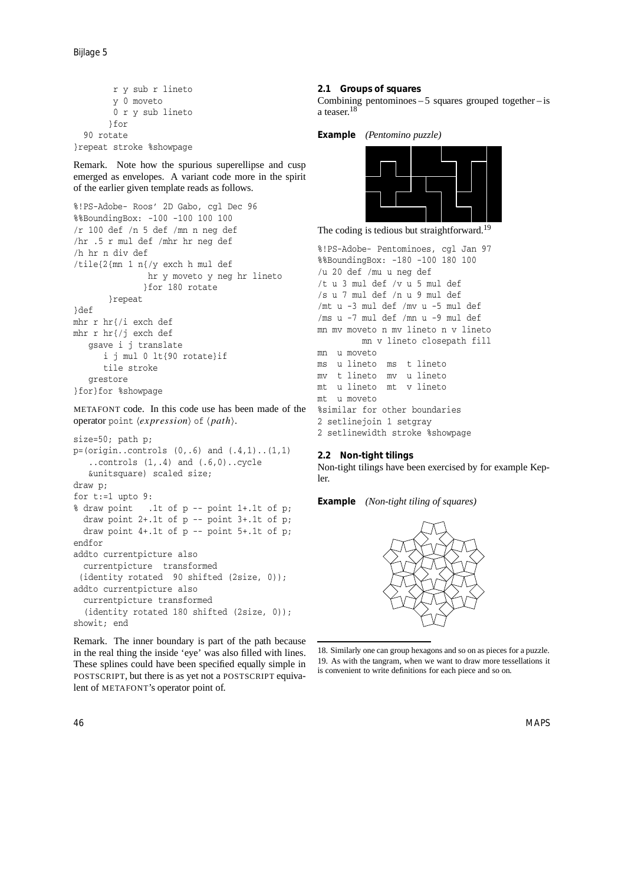r y sub r lineto y 0 moveto 0 r y sub lineto }for 90 rotate }repeat stroke %showpage

Remark. Note how the spurious superellipse and cusp emerged as envelopes. A variant code more in the spirit of the earlier given template reads as follows.

```
%!PS-Adobe- Roos' 2D Gabo, cgl Dec 96
%%BoundingBox: -100 -100 100 100
/r 100 def /n 5 def /mn n neg def
/hr .5 r mul def /mhr hr neg def
/h hr n div def
/tile{2{mn 1 n{/y exch h mul def
               hr y moveto y neg hr lineto
              }for 180 rotate
       }repeat
}def
mhr r hr{/i exch def
mhr r hr{/j exch def
   gsave i j translate
      i j mul 0 lt{90 rotate}if
      tile stroke
   grestore
}for}for %showpage
```
METAFONT code. In this code use has been made of the operator point  $\langle expression \rangle$  of  $\langle path \rangle$ .

```
size=50; path p;
p=(origin.controls (0,.6) and (.4,1)..(1,1)..controls (1,.4) and (.6,0)..cycle
   &unitsquare) scaled size;
draw p;
for t:=1 upto 9:
% draw point .1t of p -- point 1+.1t of p;
 draw point 2+.1t of p -- point 3+.1t of p;
 draw point 4+.1t of p -- point 5+.1t of p;
endfor
addto currentpicture also
 currentpicture transformed
 (identity rotated 90 shifted (2size, 0));
addto currentpicture also
  currentpicture transformed
  (identity rotated 180 shifted (2size, 0));
showit; end
```
Remark. The inner boundary is part of the path because in the real thing the inside 'eye' was also filled with lines. These splines could have been specified equally simple in POSTSCRIPT, but there is as yet not a POSTSCRIPT equivalent of METAFONT's operator point of.

# **2.1 Groups of squares**

Combining pentominoes  $-5$  squares grouped together  $-$  is a teaser.<sup>18</sup>

**Example** *(Pentomino puzzle)*



The coding is tedious but straightforward.<sup>19</sup>

%!PS-Adobe- Pentominoes, cgl Jan 97 %%BoundingBox: -180 -100 180 100 /u 20 def /mu u neg def /t u 3 mul def /v u 5 mul def /s u 7 mul def /n u 9 mul def /mt u -3 mul def /mv u -5 mul def /ms u -7 mul def /mn u -9 mul def mn mv moveto n mv lineto n v lineto mn v lineto closepath fill mn u moveto ms u lineto ms t lineto mv t lineto mv u lineto mt u lineto mt v lineto mt u moveto %similar for other boundaries 2 setlinejoin 1 setgray 2 setlinewidth stroke %showpage

# **2.2 Non-tight tilings**

Non-tight tilings have been exercised by for example Kepler.

**Example** *(Non-tight tiling of squares)*



<sup>18</sup>. Similarly one can group hexagons and so on as pieces for a puzzle. 19. As with the tangram, when we want to draw more tessellations it is convenient to write definitions for each piece and so on.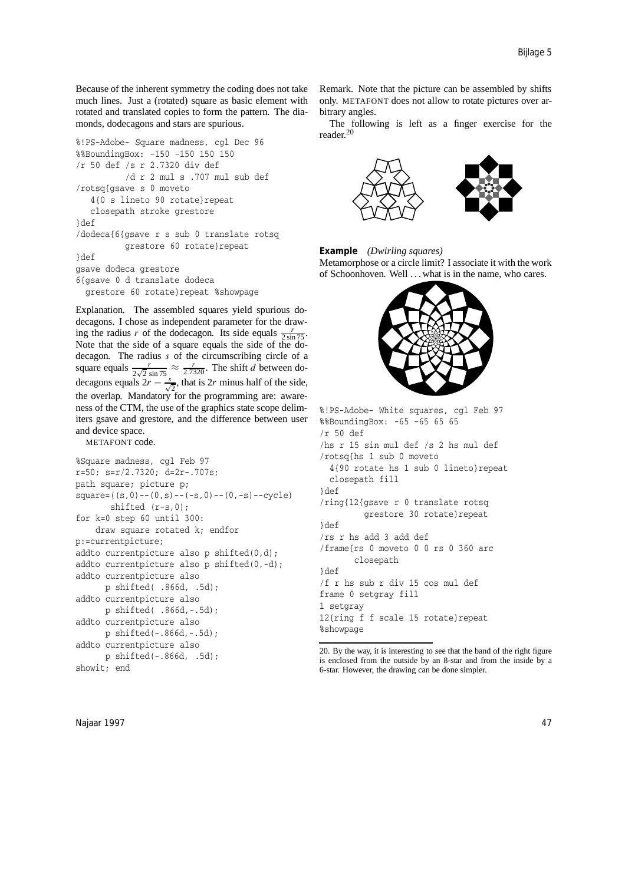Because of the inherent symmetry the coding does not take much lines. Just a (rotated) square as basic element with rotated and translated copies to form the pattern. The diamonds, dodecagons and stars are spurious.

```
%!PS-Adobe- Square madness, cgl Dec 96
%%BoundingBox: -150 -150 150 150
/r 50 def /s r 2.7320 div def
          /d r 2 mul s .707 mul sub def
/rotsq{gsave s 0 moveto
   4{0 s lineto 90 rotate}repeat
   closepath stroke grestore
}def
/dodeca{6{gsave r s sub 0 translate rotsq
          grestore 60 rotate}repeat
}def
gsave dodeca grestore
6{gsave 0 d translate dodeca
  grestore 60 rotate}repeat %showpage
```
Explanation. The assembled squares yield spurious dodecagons. I chose as independent parameter for the drawing the radius *r* of the dodecagon. Its side equals  $\frac{r}{2 \sin 75}$ . Note that the side of a square equals the side of the dodecagon. The radius *s* of the circumscribing circle of a square equals  $\frac{r}{2\sqrt{2} \sin 75} \approx \frac{r}{2.7320}$ . The shift *d* between dodecagons equals  $2r - \frac{s}{\sqrt{2}}$ , that is 2*r* minus half of the side, the overlap. Mandatory for the programming are: awareness of the CTM, the use of the graphics state scope delimiters gsave and grestore, and the difference between user and device space.

METAFONT code.

```
%Square madness, cgl Feb 97
r=50; s=r/2.7320; d=2r-.707s;
path square; picture p;
square=((s,0)-((0,s)-(-s,0)-((0,-s)--cycle)shifted (r-s,0);
for k=0 step 60 until 300:
    draw square rotated k; endfor
p:=currentpicture;
addto currentpicture also p shifted(0,d);
addto currentpicture also p shifted(0,-d);
addto currentpicture also
      p shifted( .866d, .5d);
addto currentpicture also
      p shifted( .866d,-.5d);
addto currentpicture also
      p shifted(-.866d,-.5d);
addto currentpicture also
      p shifted(-.866d, .5d);
showit; end
```
Remark. Note that the picture can be assembled by shifts only. METAFONT does not allow to rotate pictures over arbitrary angles.

The following is left as a finger exercise for the reader.<sup>20</sup>





Metamorphose or a circle limit? I associate it with the work of Schoonhoven. Well . . . what is in the name, who cares.



%!PS-Adobe- White squares, cgl Feb 97 %%BoundingBox: -65 -65 65 65 /r 50 def /hs r 15 sin mul def /s 2 hs mul def /rotsq{hs 1 sub 0 moveto 4{90 rotate hs 1 sub 0 lineto}repeat closepath fill }def /ring{12{gsave r 0 translate rotsq grestore 30 rotate}repeat }def /rs r hs add 3 add def /frame{rs 0 moveto 0 0 rs 0 360 arc closepath }def /f r hs sub r div 15 cos mul def frame 0 setgray fill 1 setgray 12{ring f f scale 15 rotate}repeat %showpage

<sup>20</sup>. By the way, it is interesting to see that the band of the right figure is enclosed from the outside by an 8-star and from the inside by a 6-star. However, the drawing can be done simpler.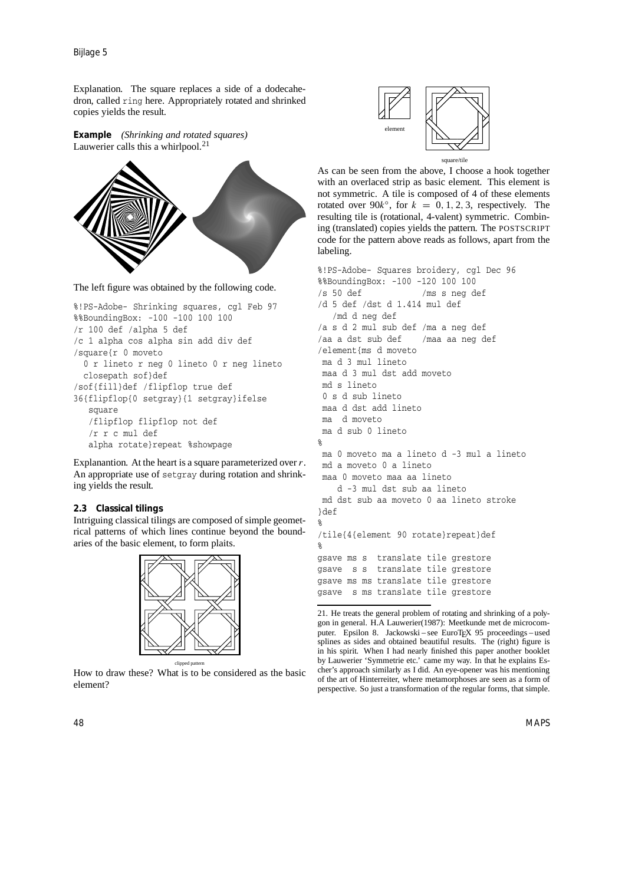Bijlage 5

Explanation. The square replaces a side of a dodecahedron, called ring here. Appropriately rotated and shrinked copies yields the result.

**Example** *(Shrinking and rotated squares)* Lauwerier calls this a whirlpool.<sup>21</sup>



The left figure was obtained by the following code.

```
%!PS-Adobe- Shrinking squares, cgl Feb 97
%%BoundingBox: -100 -100 100 100
/r 100 def /alpha 5 def
/c 1 alpha cos alpha sin add div def
/square{r 0 moveto
  0 r lineto r neg 0 lineto 0 r neg lineto
 closepath sof}def
/sof{fill}def /flipflop true def
36{flipflop{0 setgray}{1 setgray}ifelse
   square
   /flipflop flipflop not def
   /r r c mul def
   alpha rotate}repeat %showpage
```
Explanantion. At the heart is a square parameterized over *r*. An appropriate use of setgray during rotation and shrinking yields the result.

### **2.3 Classical tilings**

Intriguing classical tilings are composed of simple geometrical patterns of which lines continue beyond the boundaries of the basic element, to form plaits.



clipped pattern How to draw these? What is to be considered as the basic element?



As can be seen from the above, I choose a hook together with an overlaced strip as basic element. This element is not symmetric. A tile is composed of 4 of these elements rotated over  $90k^\circ$ , for  $k = 0, 1, 2, 3$ , respectively. The resulting tile is (rotational, 4-valent) symmetric. Combining (translated) copies yields the pattern. The POSTSCRIPT code for the pattern above reads as follows, apart from the labeling.

%!PS-Adobe- Squares broidery, cgl Dec 96 %%BoundingBox: -100 -120 100 100 /s 50 def /ms s neg def /d 5 def /dst d 1.414 mul def /md d neg def /a s d 2 mul sub def /ma a neg def /aa a dst sub def /maa aa neg def /element{ms d moveto ma d 3 mul lineto maa d 3 mul dst add moveto md s lineto 0 s d sub lineto maa d dst add lineto ma d moveto ma d sub 0 lineto % ma 0 moveto ma a lineto d -3 mul a lineto md a moveto 0 a lineto maa 0 moveto maa aa lineto d -3 mul dst sub aa lineto md dst sub aa moveto 0 aa lineto stroke }def % /tile{4{element 90 rotate}repeat}def % gsave ms s translate tile grestore gsave s s translate tile grestore gsave ms ms translate tile grestore gsave s ms translate tile grestore

<sup>21</sup>. He treats the general problem of rotating and shrinking of a polygon in general. H.A Lauwerier(1987): Meetkunde met de microcomputer. Epsilon 8. Jackowski – see EuroT<sub>E</sub>X 95 proceedings – used splines as sides and obtained beautiful results. The (right) figure is in his spirit. When I had nearly finished this paper another booklet by Lauwerier 'Symmetrie etc.' came my way. In that he explains Escher's approach similarly as I did. An eye-opener was his mentioning of the art of Hinterreiter, where metamorphoses are seen as a form of perspective. So just a transformation of the regular forms, that simple.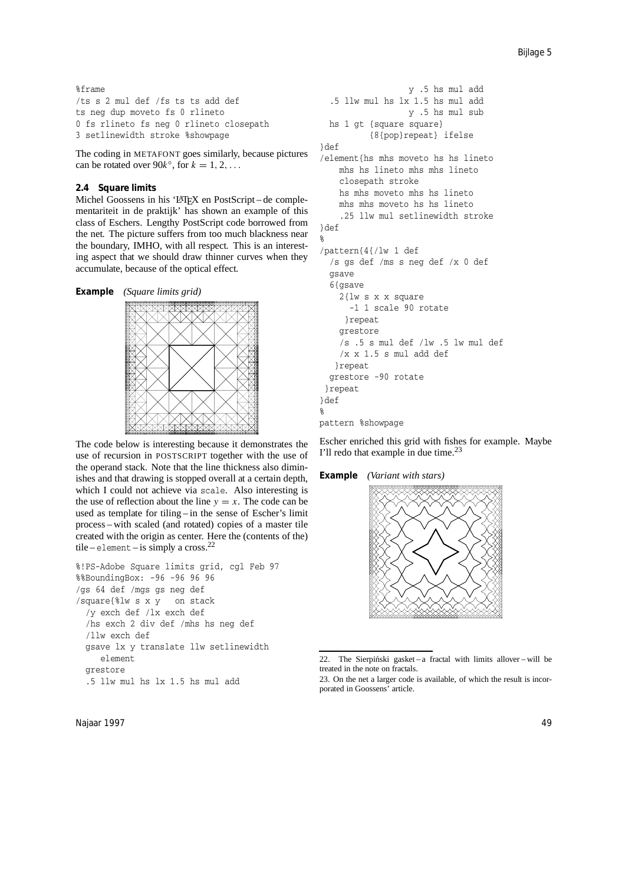%frame /ts s 2 mul def /fs ts ts add def ts neg dup moveto fs 0 rlineto 0 fs rlineto fs neg 0 rlineto closepath 3 setlinewidth stroke %showpage

The coding in METAFONT goes similarly, because pictures can be rotated over 90 $k^\circ$ , for  $k = 1, 2, \ldots$ 

### **2.4 Square limits**

Michel Goossens in his 'LATEX en PostScript – de complementariteit in de praktijk' has shown an example of this class of Eschers. Lengthy PostScript code borrowed from the net. The picture suffers from too much blackness near the boundary, IMHO, with all respect. This is an interesting aspect that we should draw thinner curves when they accumulate, because of the optical effect.





The code below is interesting because it demonstrates the use of recursion in POSTSCRIPT together with the use of the operand stack. Note that the line thickness also diminishes and that drawing is stopped overall at a certain depth, which I could not achieve via scale. Also interesting is the use of reflection about the line  $y = x$ . The code can be used as template for tiling – in the sense of Escher's limit process – with scaled (and rotated) copies of a master tile created with the origin as center. Here the (contents of the) tile – element – is simply a cross.<sup>22</sup>

```
%!PS-Adobe Square limits grid, cgl Feb 97
%%BoundingBox: -96 -96 96 96
/gs 64 def /mgs gs neg def
/square{%lw s x y on stack
  /y exch def /lx exch def
  /hs exch 2 div def /mhs hs neg def
  /llw exch def
  gsave lx y translate llw setlinewidth
     element
  grestore
  .5 llw mul hs lx 1.5 hs mul add
```

```
y .5 hs mul add
 .5 llw mul hs lx 1.5 hs mul add
                  y .5 hs mul sub
 hs 1 gt {square square}
          {8{pop}repeat} ifelse
}def
/element{hs mhs moveto hs hs lineto
   mhs hs lineto mhs mhs lineto
    closepath stroke
   hs mhs moveto mhs hs lineto
   mhs mhs moveto hs hs lineto
    .25 llw mul setlinewidth stroke
}def
%
/pattern{4{/lw 1 def
 /s gs def /ms s neg def /x 0 def
 gsave
  6{asave
   2{lw s x x square
      -1 1 scale 90 rotate
     }repeat
    grestore
    /s .5 s mul def /lw .5 lw mul def
    /x x 1.5 s mul add def
   }repeat
 grestore -90 rotate
 }repeat
}def
%
pattern %showpage
```
Escher enriched this grid with fishes for example. Maybe I'll redo that example in due time.<sup>23</sup>

### **Example** *(Variant with stars)*



<sup>22.</sup> The Sierpiński gasket – a fractal with limits allover – will be treated in the note on fractals.

<sup>23</sup>. On the net a larger code is available, of which the result is incorporated in Goossens' article.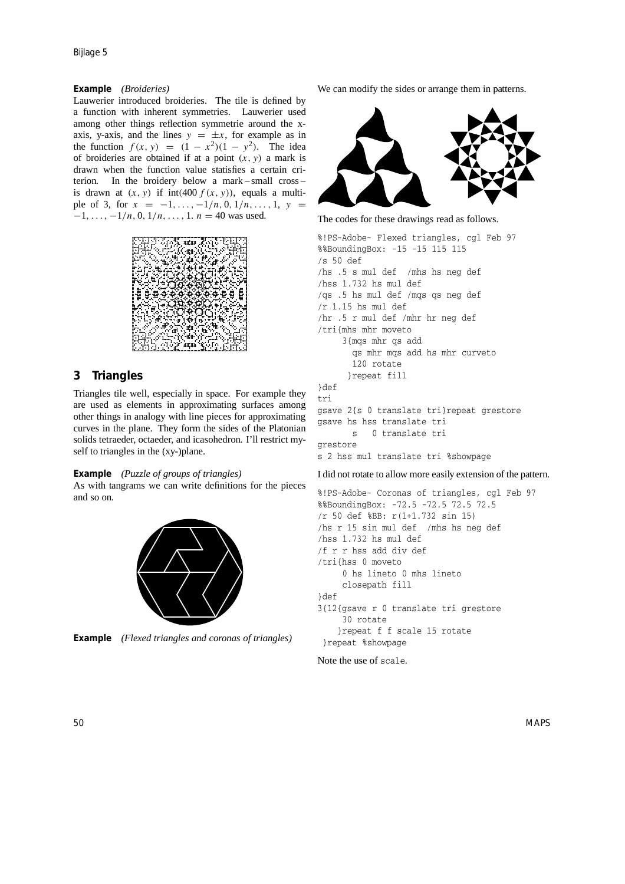### **Example** *(Broideries)*

Lauwerier introduced broideries. The tile is defined by a function with inherent symmetries. Lauwerier used among other things reflection symmetrie around the xaxis, y-axis, and the lines  $y = \pm x$ , for example as in the function  $f(x, y) = (1 - x^2)(1 - y^2)$ . The idea of broideries are obtained if at a point *(x, y)* a mark is drawn when the function value statisfies a certain criterion. In the broidery below a mark – small cross – is drawn at  $(x, y)$  if  $int(400 f(x, y))$ , equals a multiple of 3, for  $x = -1, \ldots, -1/n, 0, 1/n, \ldots, 1, y =$ −1*,...,* −1*/n,* 0*,* 1*/n, . . . ,* 1. *n* = 40 was used.



# **3 Triangles**

Triangles tile well, especially in space. For example they are used as elements in approximating surfaces among other things in analogy with line pieces for approximating curves in the plane. They form the sides of the Platonian solids tetraeder, octaeder, and icasohedron. I'll restrict myself to triangles in the (xy-)plane.

### **Example** *(Puzzle of groups of triangles)*

As with tangrams we can write definitions for the pieces and so on.





We can modify the sides or arrange them in patterns.



The codes for these drawings read as follows.

%!PS-Adobe- Flexed triangles, cgl Feb 97 %%BoundingBox: -15 -15 115 115 /s 50 def /hs .5 s mul def /mhs hs neg def /hss 1.732 hs mul def /qs .5 hs mul def /mqs qs neg def /r 1.15 hs mul def /hr .5 r mul def /mhr hr neg def /tri{mhs mhr moveto 3{mqs mhr qs add qs mhr mqs add hs mhr curveto 120 rotate }repeat fill }def tri gsave 2{s 0 translate tri}repeat grestore gsave hs hss translate tri s 0 translate tri grestore s 2 hss mul translate tri %showpage

I did not rotate to allow more easily extension of the pattern.

```
%!PS-Adobe- Coronas of triangles, cgl Feb 97
%%BoundingBox: -72.5 -72.5 72.5 72.5
/r 50 def %BB: r(1+1.732 sin 15)
/hs r 15 sin mul def /mhs hs neg def
/hss 1.732 hs mul def
/f r r hss add div def
/tri{hss 0 moveto
     0 hs lineto 0 mhs lineto
     closepath fill
}def
3{12{gsave r 0 translate tri grestore
     30 rotate
    }repeat f f scale 15 rotate
 }repeat %showpage
```
Note the use of scale.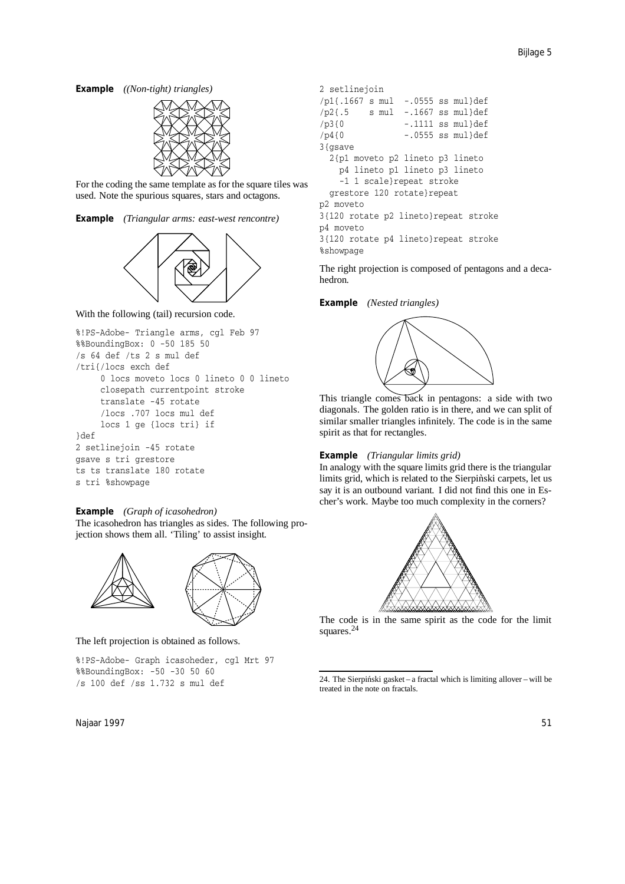**Example** *((Non-tight) triangles)*



For the coding the same template as for the square tiles was used. Note the spurious squares, stars and octagons.

**Example** *(Triangular arms: east-west rencontre)*



With the following (tail) recursion code.

```
%!PS-Adobe- Triangle arms, cgl Feb 97
%%BoundingBox: 0 -50 185 50
/s 64 def /ts 2 s mul def
/tri{/locs exch def
     0 locs moveto locs 0 lineto 0 0 lineto
     closepath currentpoint stroke
     translate -45 rotate
     /locs .707 locs mul def
     locs 1 ge {locs tri} if
}def
2 setlinejoin -45 rotate
gsave s tri grestore
ts ts translate 180 rotate
s tri %showpage
```
### **Example** *(Graph of icasohedron)*

The icasohedron has triangles as sides. The following projection shows them all. 'Tiling' to assist insight.



The left projection is obtained as follows.

%!PS-Adobe- Graph icasoheder, cgl Mrt 97 %%BoundingBox: -50 -30 50 60 /s 100 def /ss 1.732 s mul def

Najaar 1997 51 September 2008 1997 51 September 2008 1997 51 September 2008 1997 51 September 2008 1997 51 September 2008 1997 51 September 2008 1997 51 September 2008 1997 51 September 2008 1997 51 September 2008 1997 51

```
2 setlinejoin
/p1{.1667 s mul -.0555 ss mul}def
/p2{.5 s mul -.1667 ss mul}def
/p3{0 -.1111 ss mul}def
/p4{0 -.0555 ss mul}def
3{gsave}
 2{p1 moveto p2 lineto p3 lineto
   p4 lineto p1 lineto p3 lineto
   -1 1 scale}repeat stroke
 grestore 120 rotate}repeat
p2 moveto
3{120 rotate p2 lineto}repeat stroke
p4 moveto
3{120 rotate p4 lineto}repeat stroke
%showpage
```
The right projection is composed of pentagons and a decahedron.

### **Example** *(Nested triangles)*



This triangle comes back in pentagons: a side with two diagonals. The golden ratio is in there, and we can split of similar smaller triangles infinitely. The code is in the same spirit as that for rectangles.

#### **Example** *(Triangular limits grid)*

In analogy with the square limits grid there is the triangular limits grid, which is related to the Sierpinski carpets, let us say it is an outbound variant. I did not find this one in Escher's work. Maybe too much complexity in the corners?



The code is in the same spirit as the code for the limit squares.<sup>24</sup>

<sup>24.</sup> The Sierpiński gasket – a fractal which is limiting allover – will be treated in the note on fractals.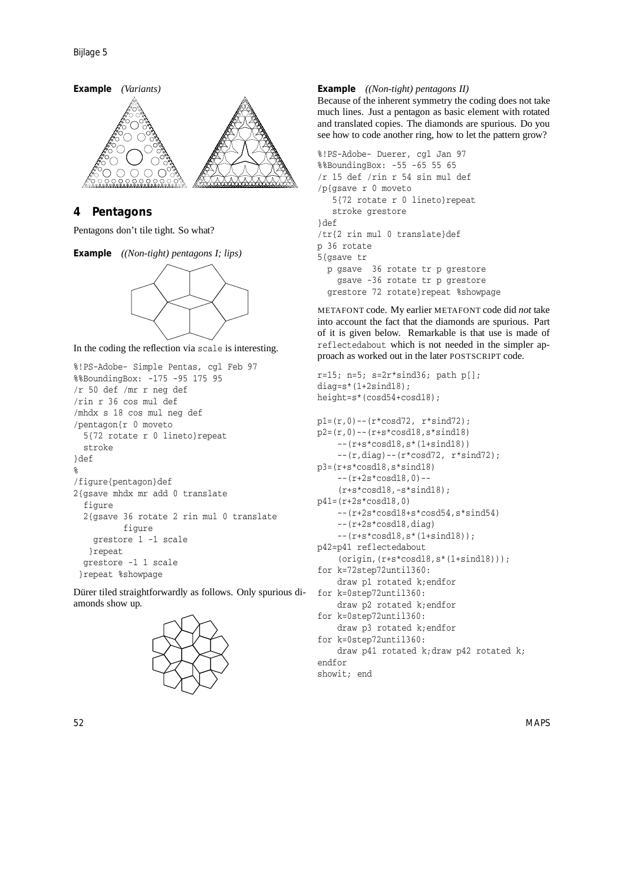

# **4 Pentagons**

```
Pentagons don't tile tight. So what?
```




In the coding the reflection via scale is interesting.

```
%!PS-Adobe- Simple Pentas, cgl Feb 97
%%BoundingBox: -175 -95 175 95
/r 50 def /mr r neg def
/rin r 36 cos mul def
/mhdx s 18 cos mul neg def
/pentagon{r 0 moveto
  5{72 rotate r 0 lineto}repeat
  stroke
}def
%
/figure{pentagon}def
2{gsave mhdx mr add 0 translate
  figure
  2{gsave 36 rotate 2 rin mul 0 translate
          figure
    grestore 1 -1 scale
   }repeat
  grestore -1 1 scale
 }repeat %showpage
```
Dürer tiled straightforwardly as follows. Only spurious diamonds show up.



### **Example** *((Non-tight) pentagons II)*

Because of the inherent symmetry the coding does not take much lines. Just a pentagon as basic element with rotated and translated copies. The diamonds are spurious. Do you see how to code another ring, how to let the pattern grow?

```
%!PS-Adobe- Duerer, cgl Jan 97
%%BoundingBox: -55 -65 55 65
/r 15 def /rin r 54 sin mul def
/p{gsave r 0 moveto
   5{72 rotate r 0 lineto}repeat
   stroke grestore
}def
/tr{2 rin mul 0 translate}def
p 36 rotate
5{gsave tr
 p gsave 36 rotate tr p grestore
   gsave -36 rotate tr p grestore
  grestore 72 rotate}repeat %showpage
```
METAFONT code. My earlier METAFONT code did *not* take into account the fact that the diamonds are spurious. Part of it is given below. Remarkable is that use is made of reflectedabout which is not needed in the simpler approach as worked out in the later POSTSCRIPT code.

```
r=15; n=5; s=2r*sind36; path p[];diag=s*(1+2sind18):
height=s*(cosd54+cosd18);
p1=(r,0)--(r*cosd72, r*sind72);p2=(r,0)--(r+s*cosd18,s*sind18)--(r+s*cosd18,s*(1+sind18))
    -(r,diag) -- (r*cosd72, r*sind72);
p3=(r+s*cosd18,s*sind18)
    --(r+2s*cosd18,0) --
    (r+s*cosd18,-s*sind18);
```

```
p41=(r+2s*cosd18,0)
    --(r+2s*cosd18+s*cosd54,s*sind54)
    --(r+2s*cosd18,diag)
```

```
--(r+s*cosd18,s*(1+sind18));
```

```
p42=p41 reflectedabout
    (origin,(r+s*cosd18,s*(1+sind18)));
```
- for k=72step72until360: draw p1 rotated k;endfor for k=0step72until360:
- draw p2 rotated k;endfor

```
for k=0step72until360:
   draw p3 rotated k;endfor
```

```
for k=0step72until360:
   draw p41 rotated k;draw p42 rotated k;
endfor
```

```
showit; end
```
52 MAPS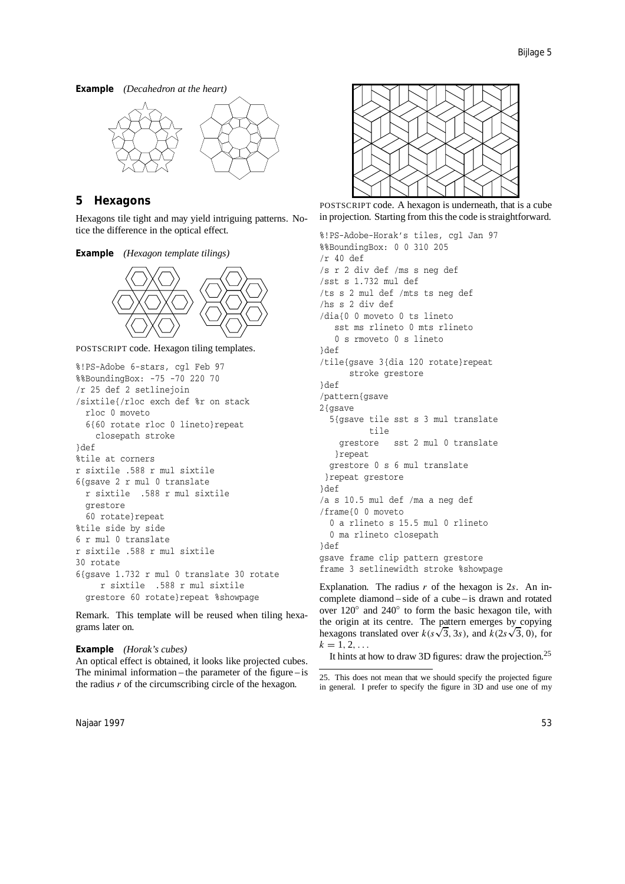**Example** *(Decahedron at the heart)*



# **5 Hexagons**

Hexagons tile tight and may yield intriguing patterns. Notice the difference in the optical effect.

**Example** *(Hexagon template tilings)*



POSTSCRIPT code. Hexagon tiling templates.

```
%!PS-Adobe 6-stars, cgl Feb 97
%%BoundingBox: -75 -70 220 70
/r 25 def 2 setlinejoin
/sixtile{/rloc exch def %r on stack
  rloc 0 moveto
  6{60 rotate rloc 0 lineto}repeat
    closepath stroke
}def
%tile at corners
r sixtile .588 r mul sixtile
6{gsave 2 r mul 0 translate
 r sixtile .588 r mul sixtile
  grestore
  60 rotate}repeat
%tile side by side
6 r mul 0 translate
r sixtile .588 r mul sixtile
30 rotate
6{gsave 1.732 r mul 0 translate 30 rotate
     r sixtile .588 r mul sixtile
  grestore 60 rotate}repeat %showpage
```
Remark. This template will be reused when tiling hexagrams later on.

### **Example** *(Horak's cubes)*

An optical effect is obtained, it looks like projected cubes. The minimal information – the parameter of the figure – is the radius *r* of the circumscribing circle of the hexagon.



POSTSCRIPT code. A hexagon is underneath, that is a cube in projection. Starting from this the code is straightforward.

```
%!PS-Adobe-Horak's tiles, cgl Jan 97
%%BoundingBox: 0 0 310 205
/r 40 def
/s r 2 div def /ms s neg def
/sst s 1.732 mul def
/ts s 2 mul def /mts ts neg def
/hs s 2 div def
/dia{0 0 moveto 0 ts lineto
  sst ms rlineto 0 mts rlineto
   0 s rmoveto 0 s lineto
}def
/tile{gsave 3{dia 120 rotate}repeat
      stroke grestore
}def
/pattern{gsave
2{gsave
 5{gsave tile sst s 3 mul translate
          tile
    grestore sst 2 mul 0 translate
  }repeat
 grestore 0 s 6 mul translate
 }repeat grestore
}def
/a s 10.5 mul def /ma a neg def
/frame{0 0 moveto
  0 a rlineto s 15.5 mul 0 rlineto
  0 ma rlineto closepath
}def
gsave frame clip pattern grestore
frame 3 setlinewidth stroke %showpage
```
Explanation. The radius *r* of the hexagon is 2*s*. An incomplete diamond – side of a cube – is drawn and rotated over 120◦ and 240◦ to form the basic hexagon tile, with the origin at its centre. The pattern emerges by copying the origin at its centre. The pattern emerges by copying<br>hexagons translated over  $k(s\sqrt{3}, 3s)$ , and  $k(2s\sqrt{3}, 0)$ , for  $k = 1, 2, \ldots$ 

It hints at how to draw 3D figures: draw the projection.<sup>25</sup>

<sup>25</sup>. This does not mean that we should specify the projected figure in general. I prefer to specify the figure in 3D and use one of my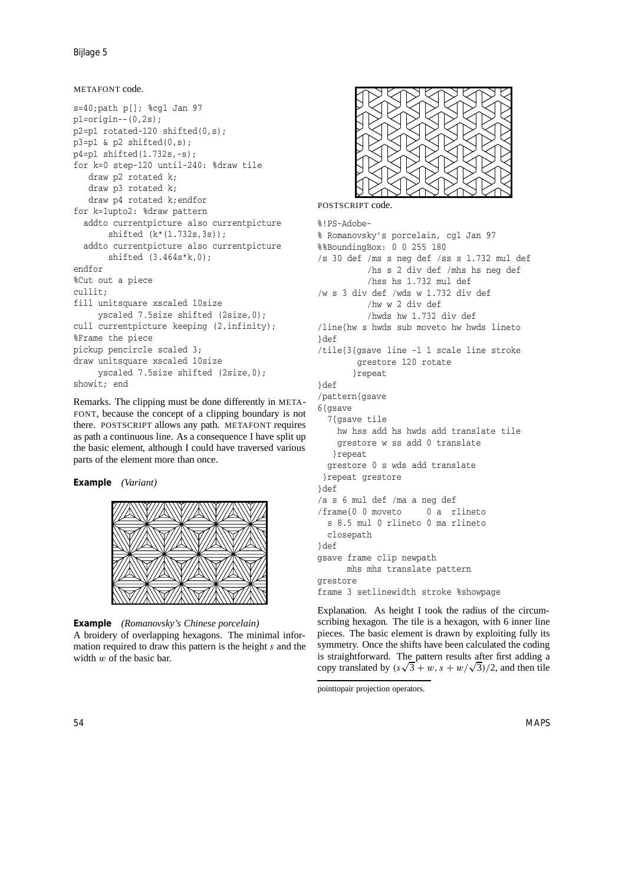Bijlage 5

# METAFONT code.

```
s=40;path p[]; %cgl Jan 97
p1=origin--(0,2s);
p2=p1 rotated-120 shifted(0,s);
p3=p1 & p2 shifted(0,s);
p4=p1 shifted(1.732s,-s);
for k=0 step-120 until-240: %draw tile
   draw p2 rotated k;
   draw p3 rotated k;
   draw p4 rotated k;endfor
for k=1upto2: %draw pattern
  addto currentpicture also currentpicture
       shifted (k*(1.732s,3s));
  addto currentpicture also currentpicture
       shifted (3.464s*k,0);
endfor
%Cut out a piece
cullit;
fill unitsquare xscaled 10size
    yscaled 7.5size shifted (2size,0);
cull currentpicture keeping (2, infinity);
%Frame the piece
pickup pencircle scaled 3;
draw unitsquare xscaled 10size
     yscaled 7.5size shifted (2size,0);
showit; end
```
Remarks. The clipping must be done differently in META-FONT, because the concept of a clipping boundary is not there. POSTSCRIPT allows any path. METAFONT requires as path a continuous line. As a consequence I have split up the basic element, although I could have traversed various parts of the element more than once.

**Example** *(Variant)*



**Example** *(Romanovsky's Chinese porcelain)* A broidery of overlapping hexagons. The minimal information required to draw this pattern is the height *s* and the width *w* of the basic bar.



POSTSCRIPT code.

```
%!PS-Adobe-
% Romanovsky's porcelain, cgl Jan 97
%%BoundingBox: 0 0 255 180
/s 30 def /ms s neg def /ss s 1.732 mul def
          /hs s 2 div def /mhs hs neg def
          /hss hs 1.732 mul def
/w s 3 div def /wds w 1.732 div def
          /hw w 2 div def
          /hwds hw 1.732 div def
/line{hw s hwds sub moveto hw hwds lineto
}def
/tile{3{gsave line -1 1 scale line stroke
        grestore 120 rotate
       }repeat
}def
/pattern{gsave
6{gsave
  7{gsave tile
    hw hss add hs hwds add translate tile
    grestore w ss add 0 translate
   }repeat
  grestore 0 s wds add translate
 }repeat grestore
}def
/a s 6 mul def /ma a neg def
/frame{0 0 moveto 0 a rlineto
  s 8.5 mul 0 rlineto 0 ma rlineto
  closepath
}def
gsave frame clip newpath
      mhs mhs translate pattern
grestore
frame 3 setlinewidth stroke %showpage
```
Explanation. As height I took the radius of the circumscribing hexagon. The tile is a hexagon, with 6 inner line pieces. The basic element is drawn by exploiting fully its symmetry. Once the shifts have been calculated the coding is straightforward. The pattern results after first adding a is straightforward. The pattern results after first adding a copy translated by  $(s\sqrt{3} + w, s + w/\sqrt{3})/2$ , and then tile

pointtopair projection operators.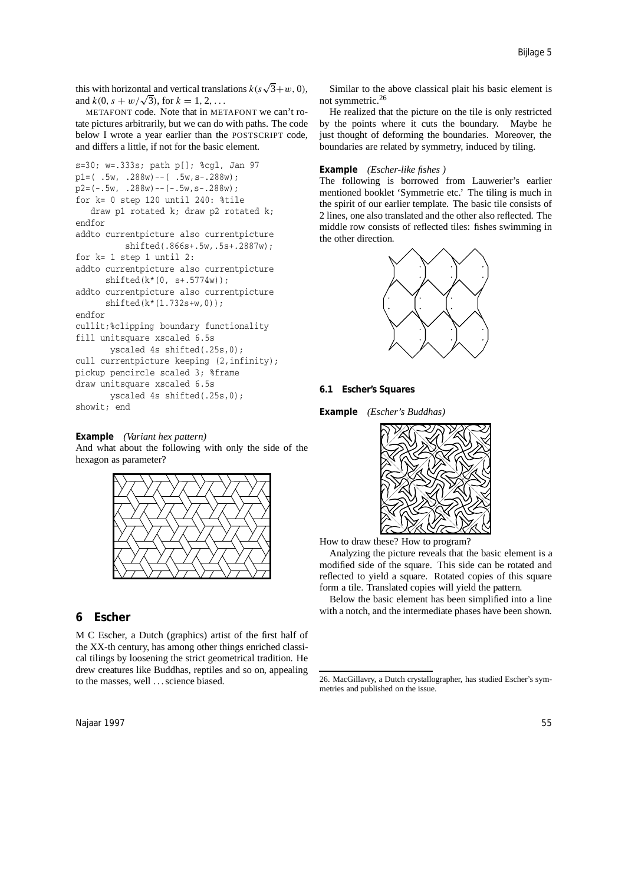this with horizontal and vertical translations  $k(s\sqrt{3}+w, 0)$ , and  $k(0, s + w/\sqrt{3})$ , for  $k = 1, 2, ...$ 

METAFONT code. Note that in METAFONT we can't rotate pictures arbitrarily, but we can do with paths. The code below I wrote a year earlier than the POSTSCRIPT code, and differs a little, if not for the basic element.

```
s=30; w=.333s; path p[]; %cgl, Jan 97
p1 = ( .5w, .288w) -- ( .5w, s-.288w);p2=(-.5w, .288w) -- (-.5w, s-.288w);for k= 0 step 120 until 240: %tile
   draw p1 rotated k; draw p2 rotated k;
endfor
addto currentpicture also currentpicture
          shifted(.866s+.5w,.5s+.2887w);
for k= 1 step 1 until 2:
addto currentpicture also currentpicture
      shifted(k*(0, s+.5774w));addto currentpicture also currentpicture
      shifted(k*(1.732s+w,0));
endfor
cullit;%clipping boundary functionality
fill unitsquare xscaled 6.5s
      yscaled 4s shifted(.25s,0);
cull currentpicture keeping (2, infinity);
pickup pencircle scaled 3; %frame
draw unitsquare xscaled 6.5s
       yscaled 4s shifted(.25s,0);
showit; end
```
**Example** *(Variant hex pattern)* And what about the following with only the side of the hexagon as parameter?



# **6 Escher**

M C Escher, a Dutch (graphics) artist of the first half of the XX-th century, has among other things enriched classical tilings by loosening the strict geometrical tradition. He drew creatures like Buddhas, reptiles and so on, appealing to the masses, well . . . science biased.

Similar to the above classical plait his basic element is not symmetric.<sup>26</sup>

He realized that the picture on the tile is only restricted by the points where it cuts the boundary. Maybe he just thought of deforming the boundaries. Moreover, the boundaries are related by symmetry, induced by tiling.

#### **Example** *(Escher-like fishes )*

The following is borrowed from Lauwerier's earlier mentioned booklet 'Symmetrie etc.' The tiling is much in the spirit of our earlier template. The basic tile consists of 2 lines, one also translated and the other also reflected. The middle row consists of reflected tiles: fishes swimming in the other direction.



### **6.1 Escher's Squares**

**Example** *(Escher's Buddhas)*



How to draw these? How to program?

Analyzing the picture reveals that the basic element is a modified side of the square. This side can be rotated and reflected to yield a square. Rotated copies of this square form a tile. Translated copies will yield the pattern.

Below the basic element has been simplified into a line with a notch, and the intermediate phases have been shown.

<sup>26</sup>. MacGillavry, a Dutch crystallographer, has studied Escher's symmetries and published on the issue.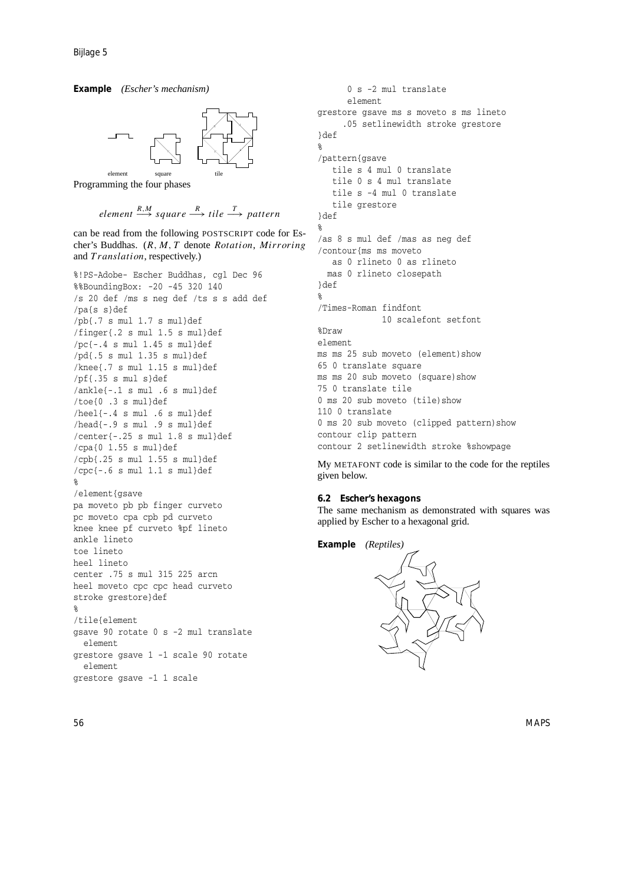**Example** *(Escher's mechanism)*



Programming the four phases

# *element R,M* −→ *square R* −→ *tile <sup>T</sup>* −→ *pattern*

can be read from the following POSTSCRIPT code for Escher's Buddhas. (*R, M, T* denote *Rotation, Mirroring* and *Translation*, respectively.)

%!PS-Adobe- Escher Buddhas, cgl Dec 96 %%BoundingBox: -20 -45 320 140 /s 20 def /ms s neg def /ts s s add def /pa{s s}def /pb{.7 s mul 1.7 s mul}def /finger{.2 s mul 1.5 s mul}def  $/pc$  {-.4 s mul 1.45 s mul}def /pd{.5 s mul 1.35 s mul}def /knee{.7 s mul 1.15 s mul}def /pf{.35 s mul s}def /ankle{-.1 s mul .6 s mul}def /toe{0 .3 s mul}def /heel{-.4 s mul .6 s mul}def /head{-.9 s mul .9 s mul}def /center{-.25 s mul 1.8 s mul}def /cpa{0 1.55 s mul}def /cpb{.25 s mul 1.55 s mul}def /cpc{-.6 s mul 1.1 s mul}def % /element{gsave pa moveto pb pb finger curveto pc moveto cpa cpb pd curveto knee knee pf curveto %pf lineto ankle lineto toe lineto heel lineto center .75 s mul 315 225 arcn heel moveto cpc cpc head curveto stroke grestore}def % /tile{element gsave 90 rotate 0 s -2 mul translate element grestore gsave 1 -1 scale 90 rotate element grestore gsave -1 1 scale

0 s -2 mul translate element grestore gsave ms s moveto s ms lineto .05 setlinewidth stroke grestore }def % /pattern{gsave tile s 4 mul 0 translate tile 0 s 4 mul translate tile s -4 mul 0 translate tile grestore }def % /as 8 s mul def /mas as neg def /contour{ms ms moveto as 0 rlineto 0 as rlineto mas 0 rlineto closepath }def % /Times-Roman findfont 10 scalefont setfont %Draw element ms ms 25 sub moveto (element) show 65 0 translate square ms ms 20 sub moveto (square)show 75 0 translate tile 0 ms 20 sub moveto (tile)show 110 0 translate 0 ms 20 sub moveto (clipped pattern) show contour clip pattern contour 2 setlinewidth stroke %showpage

My METAFONT code is similar to the code for the reptiles given below.

### **6.2 Escher's hexagons**

The same mechanism as demonstrated with squares was applied by Escher to a hexagonal grid.



56 MAPS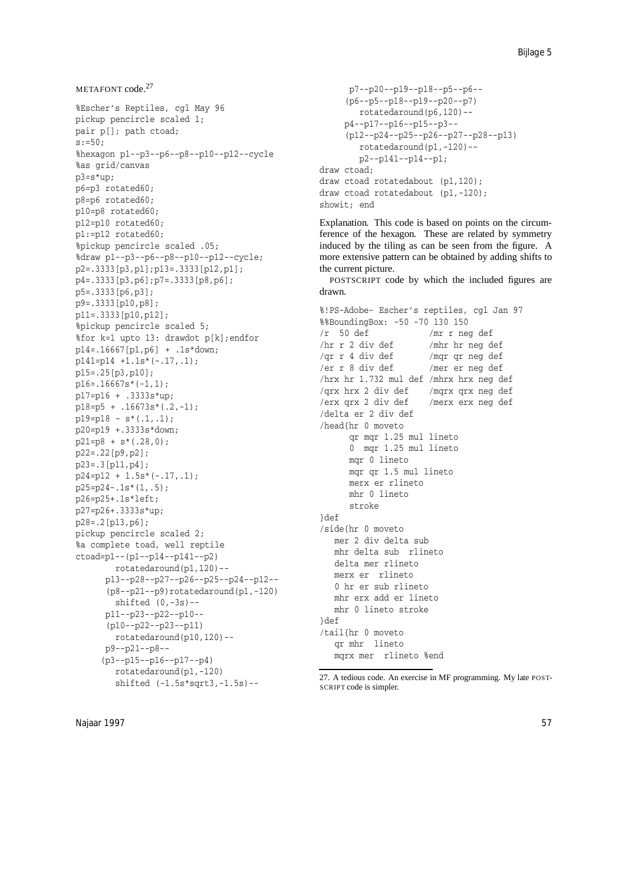```
METAFONT code.<sup>27</sup>
```
%Escher's Reptiles, cgl May 96 pickup pencircle scaled 1; pair p[]; path ctoad;  $s:=50$ : %hexagon p1--p3--p6--p8--p10--p12--cycle %as grid/canvas p3=s\*up; p6=p3 rotated60; p8=p6 rotated60; p10=p8 rotated60; p12=p10 rotated60; p1:=p12 rotated60; %pickup pencircle scaled .05; %draw p1--p3--p6--p8--p10--p12--cycle; p2=.3333[p3,p1];p13=.3333[p12,p1]; p4=.3333[p3,p6];p7=.3333[p8,p6]; p5=.3333[p6,p3]; p9=.3333[p10,p8]; p11=.3333[p10,p12]; %pickup pencircle scaled 5; %for k=1 upto 13: drawdot p[k];endfor p14=.16667[p1,p6] + .1s\*down; p141=p14 +1.1s\*(-.17,.1); p15=.25[p3,p10]; p16=.16667s\*(-1,1); p17=p16 + .3333s\*up; p18=p5 + .16673s\*(.2,-1);  $p19=p18 - s*(.1,.1);$ p20=p19 +.3333s\*down; p21=p8 + s\*(.28,0); p22=.22[p9,p2]; p23=.3[p11,p4]; p24=p12 + 1.5s\*(-.17,.1); p25=p24-.1s\*(1,.5); p26=p25+.1s\*left; p27=p26+.3333s\*up; p28=.2[p13,p6]; pickup pencircle scaled 2; %a complete toad, well reptile ctoad=p1--(p1--p14--p141--p2) rotatedaround(p1,120)- p13--p28--p27--p26--p25--p24--p12-- (p8--p21--p9)rotatedaround(p1,-120) shifted (0,-3s)- p11--p23--p22--p10-- (p10--p22--p23--p11) rotatedaround(p10,120)- p9--p21--p8-- (p3--p15--p16--p17--p4) rotatedaround(p1,-120) shifted (-1.5s\*sqrt3,-1.5s)--

```
p7--p20--p19--p18--p5--p6--
     (p6--p5--p18--p19--p20--p7)
       rotatedaround(p6,120)--
     p4--p17--p16--p15--p3--
     (p12--p24--p25--p26--p27--p28--p13)
        rotatedaround(p1,-120)--
        p2--p141--p14--p1;
draw ctoad;
draw ctoad rotatedabout (p1,120);
draw ctoad rotatedabout (p1,-120);
showit; end
```
Explanation. This code is based on points on the circumference of the hexagon. These are related by symmetry induced by the tiling as can be seen from the figure. A more extensive pattern can be obtained by adding shifts to the current picture.

POSTSCRIPT code by which the included figures are drawn.

```
%!PS-Adobe- Escher's reptiles, cgl Jan 97
%%BoundingBox: -50 -70 130 150
/r 50 def /mr r neg def
/hr r 2 div def /mhr hr neg def
/qr r 4 div def /mqr qr neg def
/er r 8 div def /mer er neg def
/hrx hr 1.732 mul def /mhrx hrx neg def
/qrx hrx 2 div def /mqrx qrx neg def
/erx qrx 2 div def /merx erx neg def
/delta er 2 div def
/head{hr 0 moveto
     qr mqr 1.25 mul lineto
     0 mqr 1.25 mul lineto
     mqr 0 lineto
     mqr qr 1.5 mul lineto
     merx er rlineto
     mhr 0 lineto
     stroke
}def
/side{hr 0 moveto
  mer 2 div delta sub
  mhr delta sub rlineto
  delta mer rlineto
  merx er rlineto
  0 hr er sub rlineto
  mhr erx add er lineto
  mhr 0 lineto stroke
}def
/tail{hr 0 moveto
   qr mhr lineto
   mqrx mer rlineto %end
```
<sup>27</sup>. A tedious code. An exercise in MF programming. My late POST-SCRIPT code is simpler.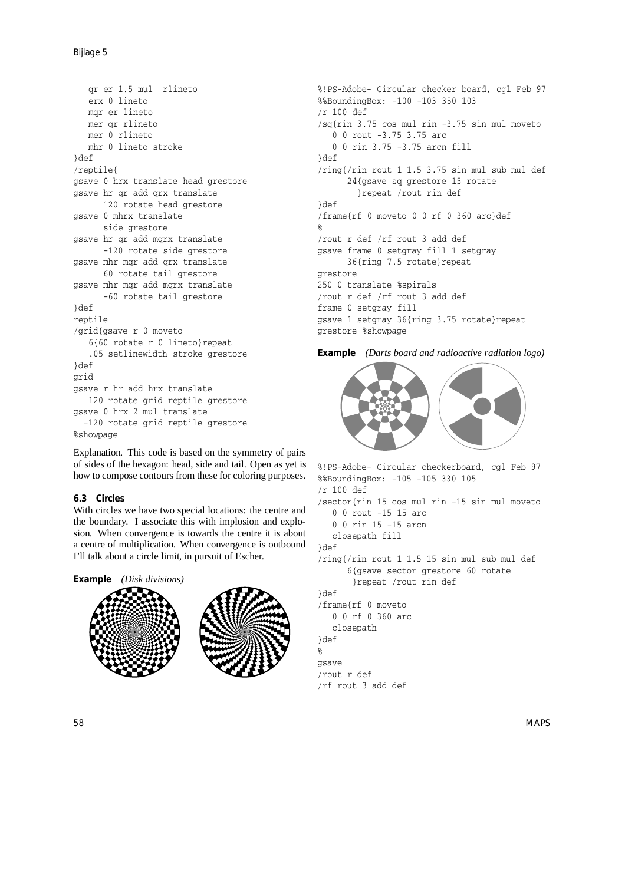qr er 1.5 mul rlineto erx 0 lineto mqr er lineto mer qr rlineto mer 0 rlineto mhr 0 lineto stroke }def /reptile{ gsave 0 hrx translate head grestore gsave hr qr add qrx translate 120 rotate head grestore gsave 0 mhrx translate side grestore gsave hr qr add mqrx translate -120 rotate side grestore gsave mhr mqr add qrx translate 60 rotate tail grestore gsave mhr mqr add mqrx translate -60 rotate tail grestore }def reptile /grid{gsave r 0 moveto 6{60 rotate r 0 lineto}repeat .05 setlinewidth stroke grestore }def grid gsave r hr add hrx translate 120 rotate grid reptile grestore gsave 0 hrx 2 mul translate -120 rotate grid reptile grestore %showpage

Explanation. This code is based on the symmetry of pairs of sides of the hexagon: head, side and tail. Open as yet is how to compose contours from these for coloring purposes.

# **6.3 Circles**

With circles we have two special locations: the centre and the boundary. I associate this with implosion and explosion. When convergence is towards the centre it is about a centre of multiplication. When convergence is outbound I'll talk about a circle limit, in pursuit of Escher.



%!PS-Adobe- Circular checker board, cgl Feb 97 %%BoundingBox: -100 -103 350 103 /r 100 def /sq{rin 3.75 cos mul rin -3.75 sin mul moveto 0 0 rout -3.75 3.75 arc 0 0 rin 3.75 -3.75 arcn fill }def /ring{/rin rout 1 1.5 3.75 sin mul sub mul def 24{gsave sq grestore 15 rotate }repeat /rout rin def }def /frame{rf 0 moveto 0 0 rf 0 360 arc}def  $\mathbf{Q}$ /rout r def /rf rout 3 add def gsave frame 0 setgray fill 1 setgray 36{ring 7.5 rotate}repeat grestore 250 0 translate %spirals /rout r def /rf rout 3 add def frame 0 setgray fill gsave 1 setgray 36{ring 3.75 rotate}repeat grestore %showpage

**Example** *(Darts board and radioactive radiation logo)*



%!PS-Adobe- Circular checkerboard, cgl Feb 97 %%BoundingBox: -105 -105 330 105 /r 100 def /sector{rin 15 cos mul rin -15 sin mul moveto 0 0 rout -15 15 arc 0 0 rin 15 -15 arcn closepath fill }def /ring{/rin rout 1 1.5 15 sin mul sub mul def 6{gsave sector grestore 60 rotate }repeat /rout rin def }def /frame{rf 0 moveto 0 0 rf 0 360 arc closepath }def % gsave /rout r def /rf rout 3 add def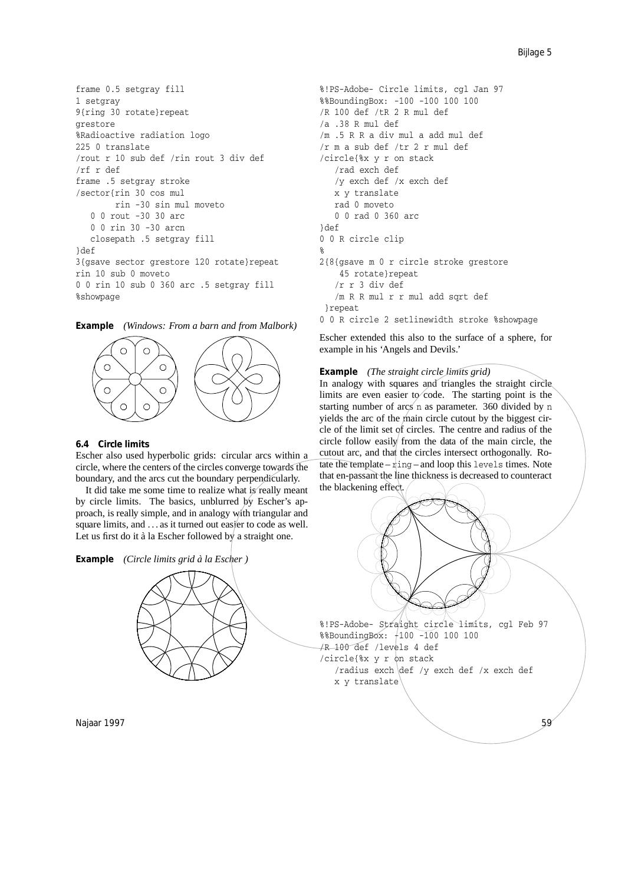```
frame 0.5 setgray fill
1 setgray
9{ring 30 rotate}repeat
grestore
%Radioactive radiation logo
225 0 translate
/rout r 10 sub def /rin rout 3 div def
/rf r def
frame .5 setgray stroke
/sector{rin 30 cos mul
        rin -30 sin mul moveto
   0 0 rout -30 30 arc
   0 0 rin 30 -30 arcn
   closepath .5 setgray fill
}def
3{gsave sector grestore 120 rotate}repeat
rin 10 sub 0 moveto
0 0 rin 10 sub 0 360 arc .5 setgray fill
%showpage
```
**Example** *(Windows: From a barn and from Malbork)*



### **6.4 Circle limits**

Escher also used hyperbolic grids: circular arcs within a circle, where the centers of the circles converge towards the boundary, and the arcs cut the boundary perpendicularly.

It did take me some time to realize what is really meant by circle limits. The basics, unblurred by Escher's approach, is really simple, and in analogy with triangular and square limits, and ... as it turned out easier to code as well. Let us first do it à la Escher followed by a straight one.





```
%!PS-Adobe- Circle limits, cgl Jan 97
%%BoundingBox: -100 -100 100 100
/R 100 def /tR 2 R mul def
/a .38 R mul def
/m .5 R R a div mul a add mul def
/r m a sub def /tr 2 r mul def
/circle{%x y r on stack
   /rad exch def
   /y exch def /x exch def
  x y translate
  rad 0 moveto
  0 0 rad 0 360 arc
}def
0 0 R circle clip
%
2{8{gsave m 0 r circle stroke grestore
    45 rotate}repeat
   /r r 3 div def
   /m R R mul r r mul add sqrt def
}repeat
0 0 R circle 2 setlinewidth stroke %showpage
```
Escher extended this also to the surface of a sphere, for example in his 'Angels and Devils.'

**Example** *(The straight circle limits grid)*

In analogy with squares and triangles the straight circle limits are even easier to code. The starting point is the starting number of  $\arcsin$  n as parameter. 360 divided by n yields the arc of the main circle cutout by the biggest circle of the limit set of circles. The centre and radius of the circle follow easily from the data of the main circle, the cutout arc, and that the circles intersect orthogonally. Rotate the template –  $r \text{ing}$  – and loop this levels times. Note that en-passant the line thickness is decreased to counteract the blackening effect.

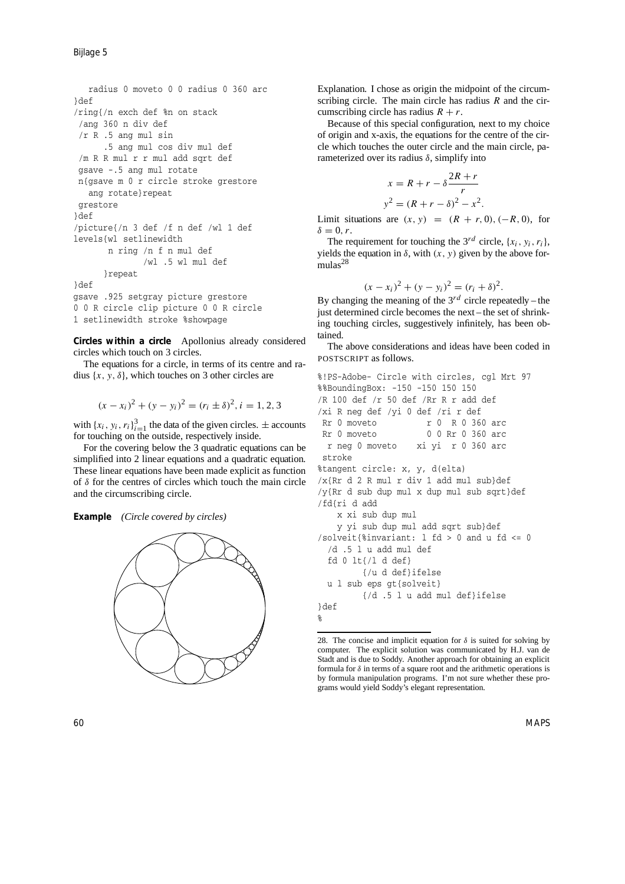Bijlage 5

```
radius 0 moveto 0 0 radius 0 360 arc
}def
/ring{/n exch def %n on stack
 /ang 360 n div def
 /r R .5 ang mul sin
      .5 ang mul cos div mul def
 /m R R mul r r mul add sqrt def
gsave -.5 ang mul rotate
n{gsave m 0 r circle stroke grestore
   ang rotate}repeat
grestore
}def
/picture{/n 3 def /f n def /wl 1 def
levels{wl setlinewidth
       n ring /n f n mul def
              /wl .5 wl mul def
      }repeat
}def
gsave .925 setgray picture grestore
0 0 R circle clip picture 0 0 R circle
1 setlinewidth stroke %showpage
```
**Circles within a circle** Apollonius already considered circles which touch on 3 circles.

The equations for a circle, in terms of its centre and radius  $\{x, y, \delta\}$ , which touches on 3 other circles are

$$
(x - x_i)^2 + (y - y_i)^2 = (r_i \pm \delta)^2, i = 1, 2, 3
$$

with  $\{x_i, y_i, r_i\}_{i=1}^3$  the data of the given circles.  $\pm$  accounts for touching on the outside, respectively inside.

For the covering below the 3 quadratic equations can be simplified into 2 linear equations and a quadratic equation. These linear equations have been made explicit as function of *δ* for the centres of circles which touch the main circle and the circumscribing circle.





Explanation. I chose as origin the midpoint of the circumscribing circle. The main circle has radius *R* and the circumscribing circle has radius  $R + r$ .

Because of this special configuration, next to my choice of origin and x-axis, the equations for the centre of the circle which touches the outer circle and the main circle, parameterized over its radius *δ*, simplify into

$$
x = R + r - \delta \frac{2R + r}{r}
$$

$$
y^2 = (R + r - \delta)^2 - x^2.
$$

Limit situations are  $(x, y) = (R + r, 0), (-R, 0)$ , for  $\delta = 0, r$ .

The requirement for touching the  $3^{rd}$  circle,  $\{x_i, y_i, r_i\}$ , yields the equation in  $\delta$ , with  $(x, y)$  given by the above formulas<sup>28</sup>

$$
(x - x_i)^2 + (y - y_i)^2 = (r_i + \delta)^2.
$$

By changing the meaning of the  $3^{rd}$  circle repeatedly – the just determined circle becomes the next – the set of shrinking touching circles, suggestively infinitely, has been obtained.

The above considerations and ideas have been coded in POSTSCRIPT as follows.

```
%!PS-Adobe- Circle with circles, cgl Mrt 97
%%BoundingBox: -150 -150 150 150
/R 100 def /r 50 def /Rr R r add def
/xi R neg def /yi 0 def /ri r def
Rr 0 moveto r 0 R 0 360 arc
Rr 0 moveto 0 0 Rr 0 360 arc
 r neg 0 moveto xi yi r 0 360 arc
stroke
%tangent circle: x, y, d(elta)
/x{Rr d 2 R mul r div 1 add mul sub}def
/y{Rr d sub dup mul x dup mul sub sqrt}def
/fd{ri d add
   x xi sub dup mul
   y yi sub dup mul add sqrt sub}def
/solveit{%invariant: l fd > 0 and u fd <= 0
  /d .5 l u add mul def
 fd 0 lt{/l d def}
        {/u d def}ifelse
 u l sub eps gt{solveit}
        {/d .5 l u add mul def}ifelse
}def
%
```
<sup>28.</sup> The concise and implicit equation for  $\delta$  is suited for solving by computer. The explicit solution was communicated by H.J. van de Stadt and is due to Soddy. Another approach for obtaining an explicit formula for *δ* in terms of a square root and the arithmetic operations is by formula manipulation programs. I'm not sure whether these programs would yield Soddy's elegant representation.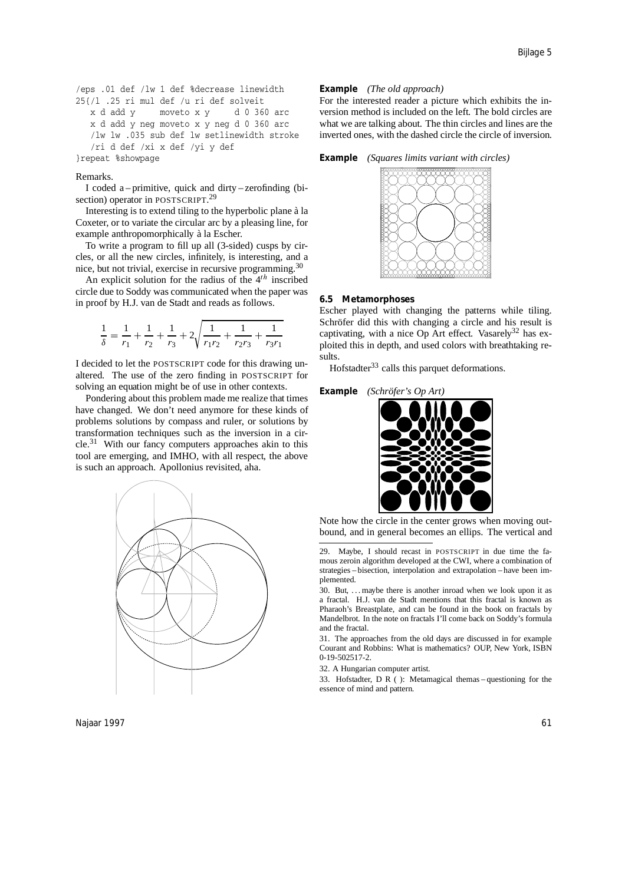```
/eps .01 def /lw 1 def %decrease linewidth
25{/l .25 ri mul def /u ri def solveit
  x d add y moveto x y d 0 360 arc
  x d add y neg moveto x y neg d 0 360 arc
  /lw lw .035 sub def lw setlinewidth stroke
   /ri d def /xi x def /yi y def
}repeat %showpage
```
#### Remarks.

I coded a – primitive, quick and dirty – zerofinding (bisection) operator in POSTSCRIPT.<sup>29</sup>

Interesting is to extend tiling to the hyperbolic plane à la Coxeter, or to variate the circular arc by a pleasing line, for example anthropomorphically à la Escher.

To write a program to fill up all (3-sided) cusps by circles, or all the new circles, infinitely, is interesting, and a nice, but not trivial, exercise in recursive programming.<sup>30</sup>

An explicit solution for the radius of the 4*th* inscribed circle due to Soddy was communicated when the paper was in proof by H.J. van de Stadt and reads as follows.

$$
\frac{1}{\delta}=\frac{1}{r_1}+\frac{1}{r_2}+\frac{1}{r_3}+2\sqrt{\frac{1}{r_1r_2}+\frac{1}{r_2r_3}+\frac{1}{r_3r_1}}
$$

I decided to let the POSTSCRIPT code for this drawing unaltered. The use of the zero finding in POSTSCRIPT for solving an equation might be of use in other contexts.

Pondering about this problem made me realize that times have changed. We don't need anymore for these kinds of problems solutions by compass and ruler, or solutions by transformation techniques such as the inversion in a cir $cle.<sup>31</sup>$  With our fancy computers approaches akin to this tool are emerging, and IMHO, with all respect, the above is such an approach. Apollonius revisited, aha.



Najaar 1997 - Kabupaten III menjadi kecamatan ini berasal kecamatan pengerbang kecamatan pengerbang kecamatan

### **Example** *(The old approach)*

For the interested reader a picture which exhibits the inversion method is included on the left. The bold circles are what we are talking about. The thin circles and lines are the inverted ones, with the dashed circle the circle of inversion.

**Example** *(Squares limits variant with circles)*



#### **6.5 Metamorphoses**

Escher played with changing the patterns while tiling. Schröfer did this with changing a circle and his result is captivating, with a nice Op Art effect. Vasarely $32$  has exploited this in depth, and used colors with breathtaking results.

Hofstadter<sup>33</sup> calls this parquet deformations.

#### **Example** *(Schröfer's Op Art)*



Note how the circle in the center grows when moving outbound, and in general becomes an ellips. The vertical and

30. But, . . . maybe there is another inroad when we look upon it as a fractal. H.J. van de Stadt mentions that this fractal is known as Pharaoh's Breastplate, and can be found in the book on fractals by Mandelbrot. In the note on fractals I'll come back on Soddy's formula and the fractal.

31. The approaches from the old days are discussed in for example Courant and Robbins: What is mathematics? OUP, New York, ISBN 0-19-502517-2.

32. A Hungarian computer artist.

33. Hofstadter, D R ( ): Metamagical themas – questioning for the essence of mind and pattern.

<sup>29</sup>. Maybe, I should recast in POSTSCRIPT in due time the famous zeroin algorithm developed at the CWI, where a combination of strategies – bisection, interpolation and extrapolation – have been implemented.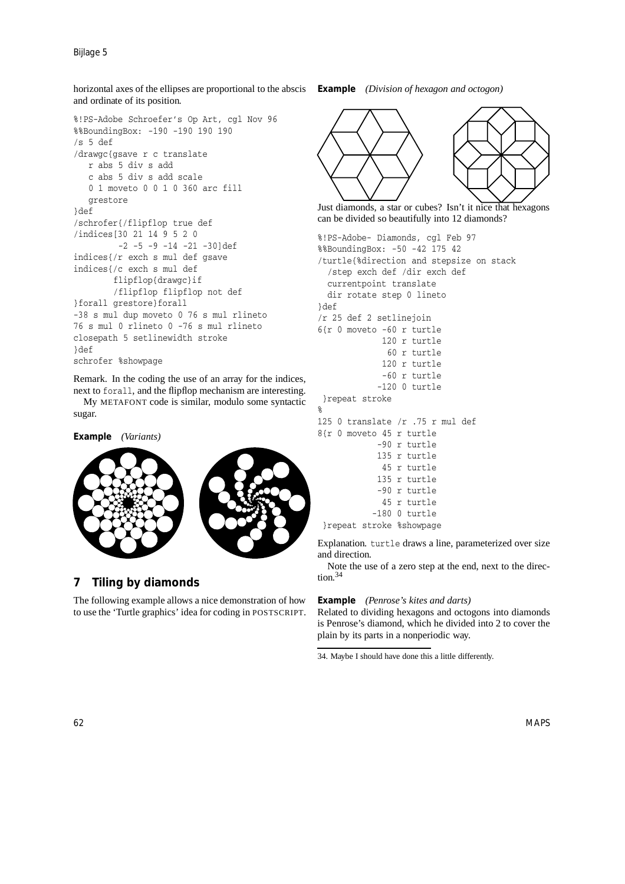horizontal axes of the ellipses are proportional to the abscis **Example** *(Division of hexagon and octogon)* and ordinate of its position.

```
%!PS-Adobe Schroefer's Op Art, cgl Nov 96
%%BoundingBox: -190 -190 190 190
/s 5 def
/drawgc{gsave r c translate
   r abs 5 div s add
   c abs 5 div s add scale
   0 1 moveto 0 0 1 0 360 arc fill
   grestore
}def
/schrofer{/flipflop true def
/indices[30 21 149520
         -2 -5 -9 -14 -21 -30]def
indices{/r exch s mul def gsave
indices{/c exch s mul def
        flipflop{drawgc}if
        /flipflop flipflop not def
}forall grestore}forall
-38 s mul dup moveto 0 76 s mul rlineto
76 s mul 0 rlineto 0 -76 s mul rlineto
closepath 5 setlinewidth stroke
}def
schrofer %showpage
```
Remark. In the coding the use of an array for the indices, next to forall, and the flipflop mechanism are interesting.

My METAFONT code is similar, modulo some syntactic sugar.

```
Example (Variants)
```


# **7 Tiling by diamonds**

The following example allows a nice demonstration of how to use the 'Turtle graphics' idea for coding in POSTSCRIPT.



Just diamonds, a star or cubes? Isn't it nice that hexagons can be divided so beautifully into 12 diamonds?

```
%!PS-Adobe- Diamonds, cgl Feb 97
%%BoundingBox: -50 -42 175 42
/turtle{%direction and stepsize on stack
  /step exch def /dir exch def
  currentpoint translate
  dir rotate step 0 lineto
}def
/r 25 def 2 setlinejoin
6{r 0 moveto -60 r turtle
             120 r turtle
              60 r turtle
             120 r turtle
             -60 r turtle
            -120 0 turtle
}repeat stroke
%
125 0 translate /r .75 r mul def
8{r 0 moveto 45 r turtle
            -90 r turtle
            135 r turtle
            45 r turtle
            135 r turtle
            -90 r turtle
             45 r turtle
           -180 0 turtle
 }repeat stroke %showpage
```
Explanation. turtle draws a line, parameterized over size and direction.

Note the use of a zero step at the end, next to the direction.<sup>34</sup>

### **Example** *(Penrose's kites and darts)*

Related to dividing hexagons and octogons into diamonds is Penrose's diamond, which he divided into 2 to cover the plain by its parts in a nonperiodic way.

```
34. Maybe I should have done this a little differently.
```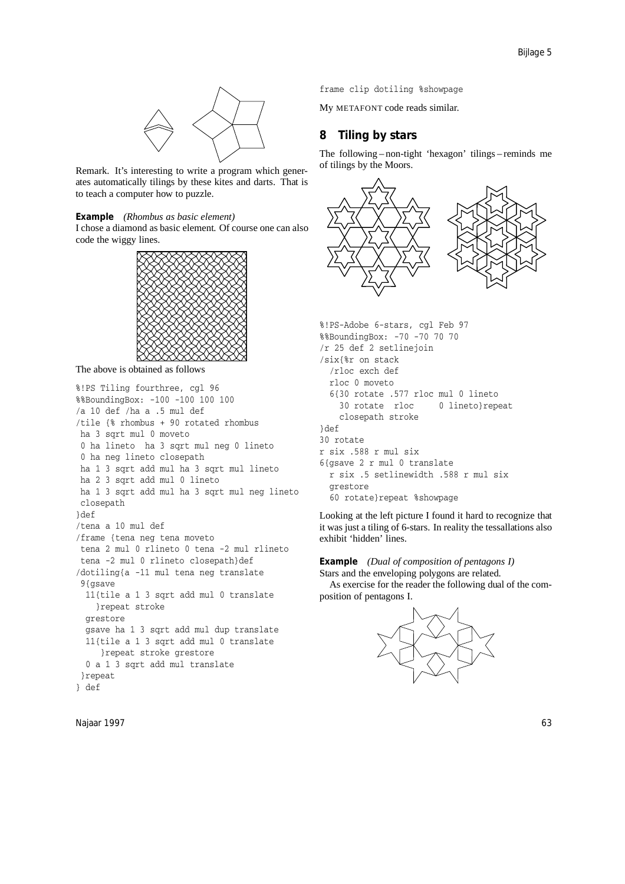

Remark. It's interesting to write a program which generates automatically tilings by these kites and darts. That is to teach a computer how to puzzle.

### **Example** *(Rhombus as basic element)*

I chose a diamond as basic element. Of course one can also code the wiggy lines.



The above is obtained as follows

```
%!PS Tiling fourthree, cgl 96
%%BoundingBox: -100 -100 100 100
/a 10 def /ha a .5 mul def
/tile {% rhombus + 90 rotated rhombus
ha 3 sqrt mul 0 moveto
0 ha lineto ha 3 sqrt mul neg 0 lineto
0 ha neg lineto closepath
ha 1 3 sqrt add mul ha 3 sqrt mul lineto
ha 2 3 sqrt add mul 0 lineto
ha 1 3 sqrt add mul ha 3 sqrt mul neg lineto
closepath
}def
/tena a 10 mul def
/frame {tena neg tena moveto
tena 2 mul 0 rlineto 0 tena -2 mul rlineto
tena -2 mul 0 rlineto closepath}def
/dotiling{a -11 mul tena neg translate
 9{asave
  11{tile a 1 3 sqrt add mul 0 translate
    }repeat stroke
  grestore
  gsave ha 1 3 sqrt add mul dup translate
  11{tile a 1 3 sqrt add mul 0 translate
     }repeat stroke grestore
  0 a 1 3 sqrt add mul translate
}repeat
} def
```
Najaar 1997 63

frame clip dotiling %showpage

My METAFONT code reads similar.

# **8 Tiling by stars**

The following – non-tight 'hexagon' tilings – reminds me of tilings by the Moors.



```
%!PS-Adobe 6-stars, cgl Feb 97
%%BoundingBox: -70 -70 70 70
/r 25 def 2 setlinejoin
/six{%r on stack
  /rloc exch def
 rloc 0 moveto
 6{30 rotate .577 rloc mul 0 lineto
    30 rotate rloc 0 lineto}repeat
    closepath stroke
}def
30 rotate
r six .588 r mul six
6{gsave 2 r mul 0 translate
 r six .5 setlinewidth .588 r mul six
 grestore
  60 rotate}repeat %showpage
```
Looking at the left picture I found it hard to recognize that it was just a tiling of 6-stars. In reality the tessallations also exhibit 'hidden' lines.

# **Example** *(Dual of composition of pentagons I)*

Stars and the enveloping polygons are related.

As exercise for the reader the following dual of the composition of pentagons I.

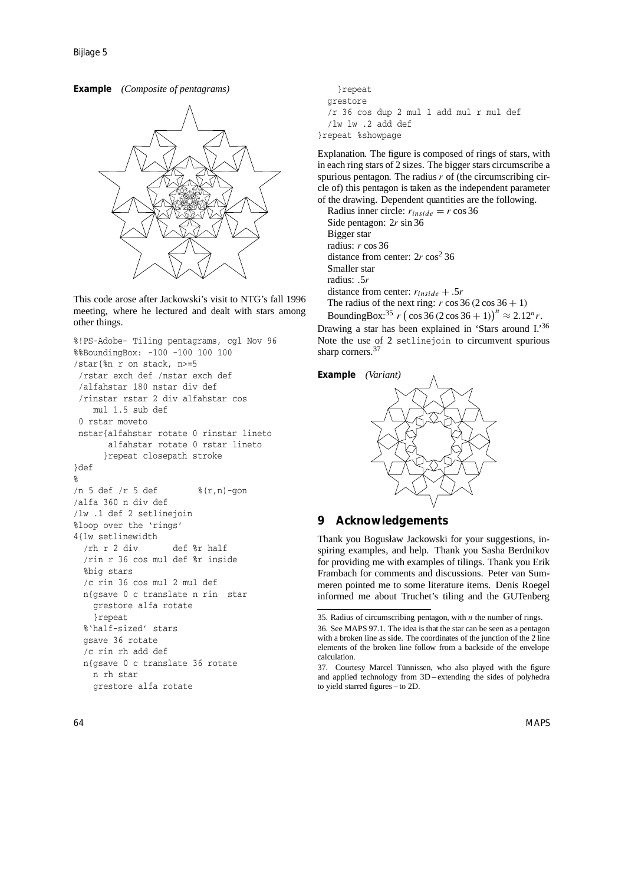**Example** *(Composite of pentagrams)*



This code arose after Jackowski's visit to NTG's fall 1996 meeting, where he lectured and dealt with stars among other things.

```
%!PS-Adobe- Tiling pentagrams, cgl Nov 96
%%BoundingBox: -100 -100 100 100
/star{%n r on stack, n>=5
/rstar exch def /nstar exch def
 /alfahstar 180 nstar div def
 /rinstar rstar 2 div alfahstar cos
   mul 1.5 sub def
 0 rstar moveto
nstar{alfahstar rotate 0 rinstar lineto
       alfahstar rotate 0 rstar lineto
      }repeat closepath stroke
}def
%
/n 5 def /r 5 def \text{\%}(r,n)-gon
/alfa 360 n div def
/lw .1 def 2 setlinejoin
%loop over the 'rings'
4{lw setlinewidth
  /rh r 2 div def %r half
  /rin r 36 cos mul def %r inside
  %big stars
  /c rin 36 cos mul 2 mul def
  n{gsave 0 c translate n rin star
    grestore alfa rotate
    }repeat
  %'half-sized' stars
  gsave 36 rotate
  /c rin rh add def
  n{gsave 0 c translate 36 rotate
   n rh star
    grestore alfa rotate
```

```
}repeat
 grestore
  /r 36 cos dup 2 mul 1 add mul r mul def
  /lw lw .2 add def
}repeat %showpage
```
Explanation. The figure is composed of rings of stars, with in each ring stars of 2 sizes. The bigger stars circumscribe a spurious pentagon. The radius *r* of (the circumscribing circle of) this pentagon is taken as the independent parameter of the drawing. Dependent quantities are the following.

Radius inner circle:  $r_{inside} = r \cos 36$ Side pentagon: 2*r* sin 36 Bigger star radius: *r* cos 36 distance from center: 2r cos<sup>2</sup> 36 Smaller star radius: *.*5*r* distance from center: *rinside* + *.*5*r* The radius of the next ring:  $r \cos 36 (2 \cos 36 + 1)$ 

BoundingBox:<sup>35</sup> *r* (cos 36 (2 cos 36 + 1))<sup>*n*</sup>  $\approx$  2.12*<sup>n</sup> r*. Drawing a star has been explained in 'Stars around I.'<sup>36</sup> Note the use of 2 setlinejoin to circumvent spurious sharp corners.<sup>37</sup>

**Example** *(Variant)*



# **9 Acknowledgements**

Thank you Bogusław Jackowski for your suggestions, inspiring examples, and help. Thank you Sasha Berdnikov for providing me with examples of tilings. Thank you Erik Frambach for comments and discussions. Peter van Summeren pointed me to some literature items. Denis Roegel informed me about Truchet's tiling and the GUTenberg

<sup>35</sup>. Radius of circumscribing pentagon, with *n* the number of rings.

<sup>36</sup>. See MAPS 97.1. The idea is that the star can be seen as a pentagon with a broken line as side. The coordinates of the junction of the 2 line elements of the broken line follow from a backside of the envelope calculation.

<sup>37.</sup> Courtesy Marcel Tünnissen, who also played with the figure and applied technology from 3D – extending the sides of polyhedra to yield starred figures – to 2D.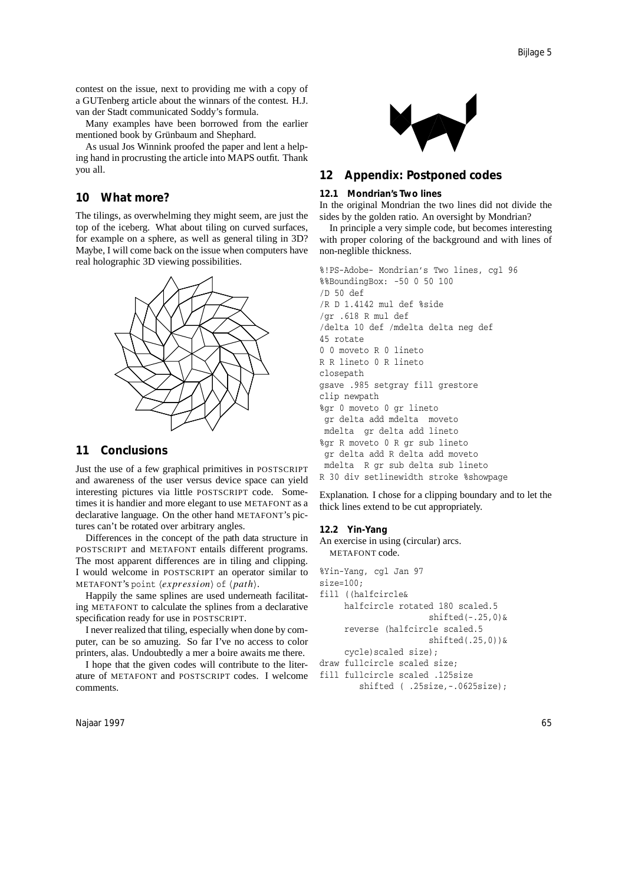contest on the issue, next to providing me with a copy of a GUTenberg article about the winnars of the contest. H.J. van der Stadt communicated Soddy's formula.

Many examples have been borrowed from the earlier mentioned book by Grünbaum and Shephard.

As usual Jos Winnink proofed the paper and lent a helping hand in procrusting the article into MAPS outfit. Thank you all.

### **10 What more?**

The tilings, as overwhelming they might seem, are just the top of the iceberg. What about tiling on curved surfaces, for example on a sphere, as well as general tiling in 3D? Maybe, I will come back on the issue when computers have real holographic 3D viewing possibilities.



# **11 Conclusions**

Just the use of a few graphical primitives in POSTSCRIPT and awareness of the user versus device space can yield interesting pictures via little POSTSCRIPT code. Sometimes it is handier and more elegant to use METAFONT as a declarative language. On the other hand METAFONT's pictures can't be rotated over arbitrary angles.

Differences in the concept of the path data structure in POSTSCRIPT and METAFONT entails different programs. The most apparent differences are in tiling and clipping. I would welcome in POSTSCRIPT an operator similar to METAFONT's point  $\langle expression \rangle$  of  $\langle path \rangle$ .

Happily the same splines are used underneath facilitating METAFONT to calculate the splines from a declarative specification ready for use in POSTSCRIPT.

I never realized that tiling, especially when done by computer, can be so amuzing. So far I've no access to color printers, alas. Undoubtedly a mer a boire awaits me there.

I hope that the given codes will contribute to the literature of METAFONT and POSTSCRIPT codes. I welcome comments.

Najaar 1997 - Kasumaan kalender oo kalender oo kalender oo kalender oo kalender oo kalender oo kalender oo kale



# **12 Appendix: Postponed codes**

### **12.1 Mondrian's Two lines**

In the original Mondrian the two lines did not divide the sides by the golden ratio. An oversight by Mondrian?

In principle a very simple code, but becomes interesting with proper coloring of the background and with lines of non-neglible thickness.

```
%!PS-Adobe- Mondrian's Two lines, cgl 96
%%BoundingBox: -50 0 50 100
/D 50 def
/R D 1.4142 mul def %side
/gr .618 R mul def
/delta 10 def /mdelta delta neg def
45 rotate
0 0 moveto R 0 lineto
R R lineto 0 R lineto
closepath
gsave .985 setgray fill grestore
clip newpath
%gr 0 moveto 0 gr lineto
 gr delta add mdelta moveto
mdelta gr delta add lineto
%gr R moveto 0 R gr sub lineto
 gr delta add R delta add moveto
mdelta R gr sub delta sub lineto
R 30 div setlinewidth stroke %showpage
```
Explanation. I chose for a clipping boundary and to let the thick lines extend to be cut appropriately.

#### **12.2 Yin-Yang**

An exercise in using (circular) arcs. METAFONT code.

%Yin-Yang, cgl Jan 97 size=100;

- fill ((halfcircle& halfcircle rotated 180 scaled.5 shifted(-.25,0)& reverse (halfcircle scaled.5 shifted(.25,0))& cycle)scaled size); draw fullcircle scaled size;
- fill fullcircle scaled .125size
- shifted ( .25size,-.0625size);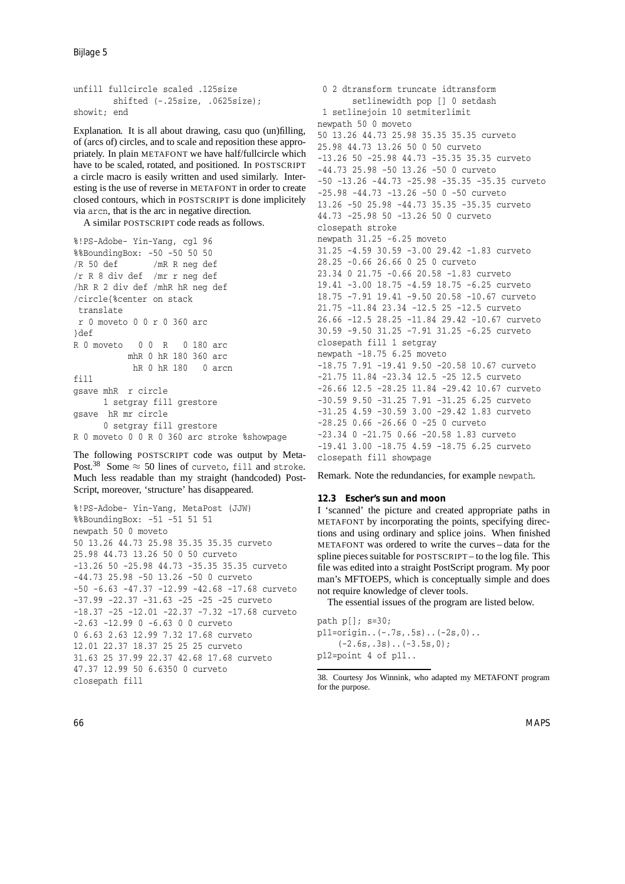Bijlage 5

```
unfill fullcircle scaled .125size
        shifted (-.25size, .0625size);
showit; end
```
Explanation. It is all about drawing, casu quo (un)filling, of (arcs of) circles, and to scale and reposition these appropriately. In plain METAFONT we have half/fullcircle which have to be scaled, rotated, and positioned. In POSTSCRIPT a circle macro is easily written and used similarly. Interesting is the use of reverse in METAFONT in order to create closed contours, which in POSTSCRIPT is done implicitely via arcn, that is the arc in negative direction.

A similar POSTSCRIPT code reads as follows.

```
%!PS-Adobe- Yin-Yang, cgl 96
%%BoundingBox: -50 -50 50 50
/R 50 def /mR R neg def
/r R 8 div def /mr r neg def
/hR R 2 div def /mhR hR neg def
/circle{%center on stack
translate
r 0 moveto 0 0 r 0 360 arc
3def
R 0 moveto 0 0 R 0 180 arc
          mhR 0 hR 180 360 arc
           hR 0 hR 180 0 arcn
fill
gsave mhR r circle
     1 setgray fill grestore
gsave hR mr circle
     0 setgray fill grestore
R 0 moveto 0 0 R 0 360 arc stroke %showpage
```
The following POSTSCRIPT code was output by Meta-Post.<sup>38</sup> Some  $\approx$  50 lines of curveto, fill and stroke. Much less readable than my straight (handcoded) Post-Script, moreover, 'structure' has disappeared.

```
%!PS-Adobe- Yin-Yang, MetaPost (JJW)
%%BoundingBox: -51 -51 51 51
newpath 50 0 moveto
50 13.26 44.73 25.98 35.35 35.35 curveto
25.98 44.73 13.26 50 0 50 curveto
-13.26 50 -25.98 44.73 -35.35 35.35 curveto
-44.73 25.98 -50 13.26 -50 0 curveto
-50 -6.63 -47.37 -12.99 -42.68 -17.68 curveto
-37.99 -22.37 -31.63 -25 -25 -25 curveto
-18.37 -25 -12.01 -22.37 -7.32 -17.68 curveto
-2.63 -12.99 0 -6.63 0 0 curveto
0 6.63 2.63 12.99 7.32 17.68 curveto
12.01 22.37 18.37 25 25 25 curveto
31.63 25 37.99 22.37 42.68 17.68 curveto
47.37 12.99 50 6.6350 0 curveto
closepath fill
```
0 2 dtransform truncate idtransform setlinewidth pop [] 0 setdash 1 setlinejoin 10 setmiterlimit newpath 50 0 moveto 50 13.26 44.73 25.98 35.35 35.35 curveto 25.98 44.73 13.26 50 0 50 curveto -13.26 50 -25.98 44.73 -35.35 35.35 curveto -44.73 25.98 -50 13.26 -50 0 curveto -50 -13.26 -44.73 -25.98 -35.35 -35.35 curveto -25.98 -44.73 -13.26 -50 0 -50 curveto 13.26 -50 25.98 -44.73 35.35 -35.35 curveto 44.73 -25.98 50 -13.26 50 0 curveto closepath stroke newpath 31.25 -6.25 moveto 31.25 -4.59 30.59 -3.00 29.42 -1.83 curveto 28.25 -0.66 26.66 0 25 0 curveto 23.34 0 21.75 -0.66 20.58 -1.83 curveto 19.41 -3.00 18.75 -4.59 18.75 -6.25 curveto 18.75 -7.91 19.41 -9.50 20.58 -10.67 curveto 21.75 -11.84 23.34 -12.5 25 -12.5 curveto 26.66 -12.5 28.25 -11.84 29.42 -10.67 curveto 30.59 -9.50 31.25 -7.91 31.25 -6.25 curveto closepath fill 1 setgray newpath -18.75 6.25 moveto -18.75 7.91 -19.41 9.50 -20.58 10.67 curveto -21.75 11.84 -23.34 12.5 -25 12.5 curveto -26.66 12.5 -28.25 11.84 -29.42 10.67 curveto -30.59 9.50 -31.25 7.91 -31.25 6.25 curveto -31.25 4.59 -30.59 3.00 -29.42 1.83 curveto -28.25 0.66 -26.66 0 -25 0 curveto -23.34 0 -21.75 0.66 -20.58 1.83 curveto -19.41 3.00 -18.75 4.59 -18.75 6.25 curveto closepath fill showpage

Remark. Note the redundancies, for example newpath.

### **12.3 Escher's sun and moon**

I 'scanned' the picture and created appropriate paths in METAFONT by incorporating the points, specifying directions and using ordinary and splice joins. When finished METAFONT was ordered to write the curves – data for the spline pieces suitable for POSTSCRIPT – to the log file. This file was edited into a straight PostScript program. My poor man's MFTOEPS, which is conceptually simple and does not require knowledge of clever tools.

The essential issues of the program are listed below.

```
path p[]; s=30;
p11=origin..(-.7s,.5s)..(-2s,0)..
    (-2.6s, .3s)..(-3.5s, 0);
p12=point 4 of p11..
```
<sup>38</sup>. Courtesy Jos Winnink, who adapted my METAFONT program for the purpose.